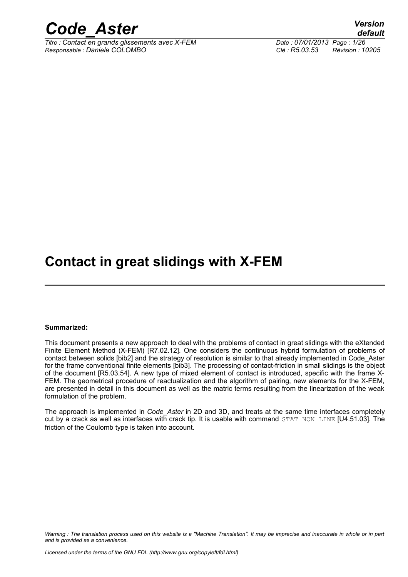

*Titre : Contact en grands glissements avec X-FEM Date : 07/01/2013 Page : 1/26 Responsable : Daniele COLOMBO Clé : R5.03.53 Révision : 10205*

#### **Contact in great slidings with X-FEM**

#### **Summarized:**

This document presents a new approach to deal with the problems of contact in great slidings with the eXtended Finite Element Method (X-FEM) [R7.02.12]. One considers the continuous hybrid formulation of problems of contact between solids [bib2] and the strategy of resolution is similar to that already implemented in Code\_Aster for the frame conventional finite elements [bib3]. The processing of contact-friction in small slidings is the object of the document [R5.03.54]. A new type of mixed element of contact is introduced, specific with the frame X-FEM. The geometrical procedure of reactualization and the algorithm of pairing, new elements for the X-FEM, are presented in detail in this document as well as the matric terms resulting from the linearization of the weak formulation of the problem.

The approach is implemented in *Code\_Aster* in 2D and 3D, and treats at the same time interfaces completely cut by a crack as well as interfaces with crack tip. It is usable with command  $STATINON$  LINE  $[U4.51.03]$ . The friction of the Coulomb type is taken into account.

*Warning : The translation process used on this website is a "Machine Translation". It may be imprecise and inaccurate in whole or in part and is provided as a convenience.*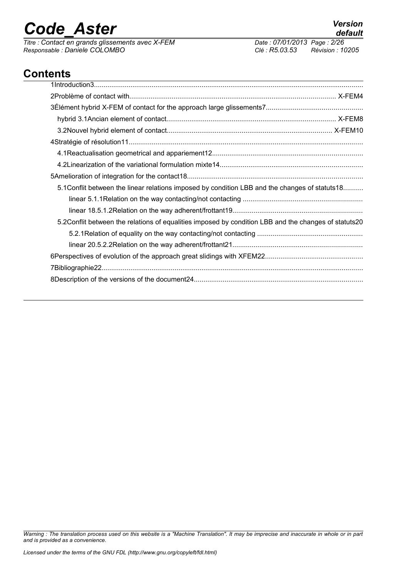*Titre : Contact en grands glissements avec X-FEM <i>Date : 07/01/20*<br> *Responsable : Daniele COLOMBO Clé : R5.03.53 Responsable : Daniele COLOMBO Clé : R5.03.53 Révision : 10205*

#### **Contents**

| 5.1 Conflit between the linear relations imposed by condition LBB and the changes of statuts 18      |
|------------------------------------------------------------------------------------------------------|
|                                                                                                      |
|                                                                                                      |
| 5.2Conflit between the relations of equalities imposed by condition LBB and the changes of statuts20 |
|                                                                                                      |
|                                                                                                      |
|                                                                                                      |
|                                                                                                      |
|                                                                                                      |
|                                                                                                      |

*Warning : The translation process used on this website is a "Machine Translation". It may be imprecise and inaccurate in whole or in part and is provided as a convenience.*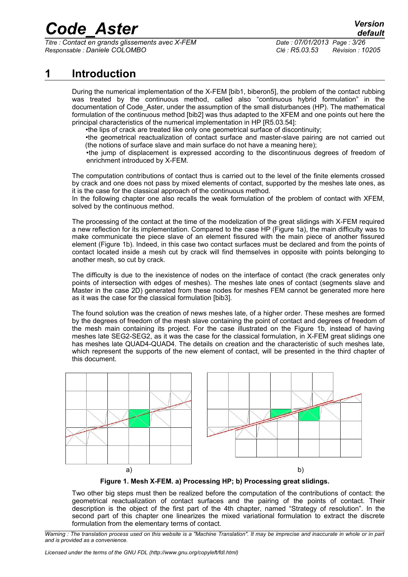*Titre : Contact en grands glissements avec X-FEM Date : 07/01/2013 Page : 3/26 Responsable : Daniele COLOMBO Clé : R5.03.53 Révision : 10205*

#### **1 Introduction**

During the numerical implementation of the X-FEM [bib1, biberon5], the problem of the contact rubbing was treated by the continuous method, called also "continuous hybrid formulation" in the documentation of Code Aster, under the assumption of the small disturbances (HP). The mathematical formulation of the continuous method [bib2] was thus adapted to the XFEM and one points out here the principal characteristics of the numerical implementation in HP [R5.03.54]:

•the lips of crack are treated like only one geometrical surface of discontinuity;

•the geometrical reactualization of contact surface and master-slave pairing are not carried out (the notions of surface slave and main surface do not have a meaning here);

•the jump of displacement is expressed according to the discontinuous degrees of freedom of enrichment introduced by X-FEM.

The computation contributions of contact thus is carried out to the level of the finite elements crossed by crack and one does not pass by mixed elements of contact, supported by the meshes late ones, as it is the case for the classical approach of the continuous method.

In the following chapter one also recalls the weak formulation of the problem of contact with XFEM, solved by the continuous method.

The processing of the contact at the time of the modelization of the great slidings with X-FEM required a new reflection for its implementation. Compared to the case HP (Figure 1a), the main difficulty was to make communicate the piece slave of an element fissured with the main piece of another fissured element (Figure 1b). Indeed, in this case two contact surfaces must be declared and from the points of contact located inside a mesh cut by crack will find themselves in opposite with points belonging to another mesh, so cut by crack.

The difficulty is due to the inexistence of nodes on the interface of contact (the crack generates only points of intersection with edges of meshes). The meshes late ones of contact (segments slave and Master in the case 2D) generated from these nodes for meshes FEM cannot be generated more here as it was the case for the classical formulation [bib3].

The found solution was the creation of news meshes late, of a higher order. These meshes are formed by the degrees of freedom of the mesh slave containing the point of contact and degrees of freedom of the mesh main containing its project. For the case illustrated on the Figure 1b, instead of having meshes late SEG2-SEG2, as it was the case for the classical formulation, in X-FEM great slidings one has meshes late QUAD4-QUAD4. The details on creation and the characteristic of such meshes late, which represent the supports of the new element of contact, will be presented in the third chapter of this document.



**Figure 1. Mesh X-FEM. a) Processing HP; b) Processing great slidings.**

Two other big steps must then be realized before the computation of the contributions of contact: the geometrical reactualization of contact surfaces and the pairing of the points of contact. Their description is the object of the first part of the 4th chapter, named "Strategy of resolution". In the second part of this chapter one linearizes the mixed variational formulation to extract the discrete formulation from the elementary terms of contact.

*Warning : The translation process used on this website is a "Machine Translation". It may be imprecise and inaccurate in whole or in part and is provided as a convenience.*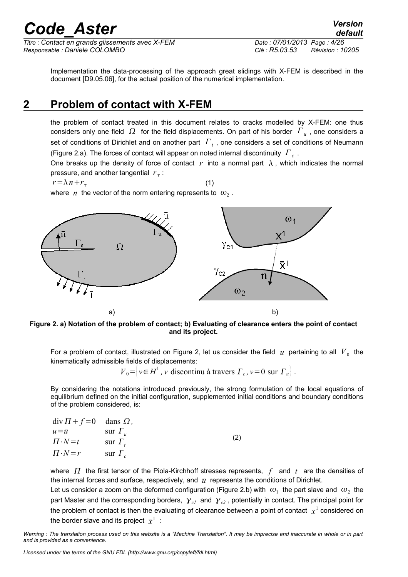*Titre : Contact en grands glissements avec X-FEM Date : 07/01/2013 Page : 4/26 Responsable : Daniele COLOMBO Clé : R5.03.53 Révision : 10205*

*default*

Implementation the data-processing of the approach great slidings with X-FEM is described in the document [D9.05.06], for the actual position of the numerical implementation.

#### **2 Problem of contact with X-FEM**

the problem of contact treated in this document relates to cracks modelled by X-FEM: one thus considers only one field  $\Omega$  for the field displacements. On part of his border  $\overline{F}_u$  , one considers a set of conditions of Dirichlet and on another part *Γ <sup>t</sup>* , one considers a set of conditions of Neumann (Figure 2.a). The forces of contact will appear on noted internal discontinuity *Γ <sup>c</sup>* .

One breaks up the density of force of contact  $r$  into a normal part  $\lambda$ , which indicates the normal pressure, and another tangential  $r<sub>\tau</sub>$ :

 $r = \lambda n + r_\tau$ 

(1)

where  $|n|$  the vector of the norm entering represents to  $| \omega_2|$ .



**Figure 2. a) Notation of the problem of contact; b) Evaluating of clearance enters the point of contact and its project.**

For a problem of contact, illustrated on Figure 2, let us consider the field  $|u|$  pertaining to all  $|V|_0$  the kinematically admissible fields of displacements:

 $V_0 = |v \in H^1$ , *v* discontinu à travers  $\Gamma_c$ ,  $v = 0$  sur  $\Gamma_u$ .

By considering the notations introduced previously, the strong formulation of the local equations of equilibrium defined on the initial configuration, supplemented initial conditions and boundary conditions of the problem considered, is:

| $div \Pi + f = 0$ dans $\Omega$ , |                |     |
|-----------------------------------|----------------|-----|
| $u = \overline{u}$                | sur $\Gamma_u$ |     |
| $\Pi \cdot N = t$                 | sur $\Gamma_t$ | (2) |
| $\Pi \cdot N = r$                 | sur $\Gamma_c$ |     |

where  $\Pi$  the first tensor of the Piola-Kirchhoff stresses represents,  $f$  and  $t$  are the densities of the internal forces and surface, respectively, and  $\bar{u}$  represents the conditions of Dirichlet.

Let us consider a zoom on the deformed configuration (Figure 2.b) with  $|\omega_1|$  the part slave and  $|\omega_2|$  the part Master and the corresponding borders,  $y_{cl}$  and  $y_{cl}$ , potentially in contact. The principal point for the problem of contact is then the evaluating of clearance between a point of contact  $\ _{X}{}^{1}$  considered on the border slave and its project  $\bar{x}^1$  :

*Warning : The translation process used on this website is a "Machine Translation". It may be imprecise and inaccurate in whole or in part and is provided as a convenience.*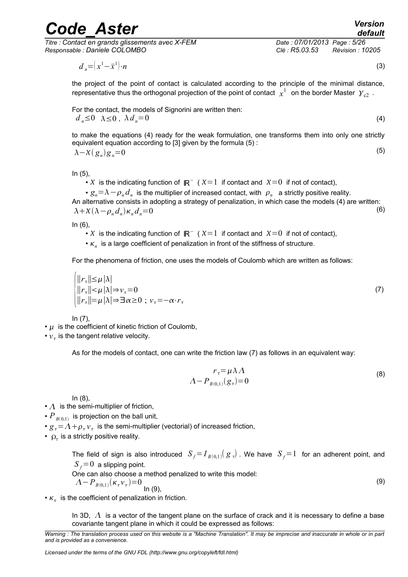*Titre : Contact en grands glissements avec X-FEM Date : 07/01/2013 Page : 5/26 Responsable : Daniele COLOMBO Clé : R5.03.53 Révision : 10205*

<span id="page-4-1"></span><span id="page-4-0"></span>

*default*

 $d_n = (x^1 - \bar{x}^1)$  $\cdot n$  (3)

the project of the point of contact is calculated according to the principle of the minimal distance, representative thus the orthogonal projection of the point of contact  $\,\,{}^{\!}x^1\,\,$  on the border Master  $\,{\cal Y}_{\rm c2}\,$  .

For the contact, the models of Signorini are written then:

$$
d_n \leq 0 \quad \lambda \leq 0 \quad \lambda \, d_n = 0 \tag{4}
$$

to make the equations (4) ready for the weak formulation, one transforms them into only one strictly equivalent equation according to [3] given by the formula [\(5\)](#page-4-0) : (5)  $\lambda - \chi(g_n)g_n = 0$ 

In (5),

• X is the indicating function of  $\mathbb{R}^-$  (  $\chi=1$  if contact and  $\chi=0$  if not of contact),

•  $g_n{=}\lambda-\rho_n d_n$  is the multiplier of increased contact, with  $|\rho_n\>$  a strictly positive reality.

An alternative consists in adopting a strategy of penalization, in which case the models [\(4\)](#page-4-1) are written: (6)  $\lambda + \chi(\lambda - \rho_n d_n) \kappa_n d_n = 0$ 

In (6),

• X is the indicating function of  $\mathbb{R}^-$  (  $\chi=1$  if contact and  $\chi=0$  if not of contact),

•  $\kappa_n$  is a large coefficient of penalization in front of the stiffness of structure.

For the phenomena of friction, one uses the models of Coulomb which are written as follows:

$$
\begin{cases}\n||r_{\tau}|| \leq \mu |\lambda| \\
||r_{\tau}|| < \mu |\lambda| \Rightarrow v_{\tau} = 0 \\
||r_{\tau}|| = \mu |\lambda| \Rightarrow \exists \alpha \geq 0 \; ; \; v_{\tau} = -\alpha \cdot r_{\tau}\n\end{cases} (7)
$$

In (7),

 $\cdot$   $\mu$  is the coefficient of kinetic friction of Coulomb,

 $\cdot$   $v_{\tau}$  is the tangent relative velocity.

As for the models of contact, one can write the friction law (7) as follows in an equivalent way:

<span id="page-4-2"></span>
$$
r_{\tau} = \mu \lambda \Lambda
$$
  
\n
$$
\Lambda - P_{B(0,1)}(g_{\tau}) = 0
$$
\n(8)

In (8),

- $\cdot$   $\Lambda$  is the semi-multiplier of friction,
- $P_{B(0,1)}$  is projection on the ball unit,
- $g_{\tau}$  =  $\Lambda$  +  $\rho_{\tau}$   $v_{\tau}$  is the semi-multiplier (vectorial) of increased friction,
- $\rho_r$  is a strictly positive reality.

The field of sign is also introduced  $\ S_f{=}I_{B(0,1)}(\ {g}_{\tau})$  . We have  $\ S_f{=}1\;$  for an adherent point, and  $S_f$ =0 a slipping point.

One can also choose a method penalized to write this model:

$$
A - P_{B(0,1)}(\kappa_{\tau} \nu_{\tau}) = 0
$$
 (9)

•  $\kappa_{\tau}$  is the coefficient of penalization in friction.

In 3D,  $\Lambda$  is a vector of the tangent plane on the surface of crack and it is necessary to define a base covariante tangent plane in which it could be expressed as follows:

*Warning : The translation process used on this website is a "Machine Translation". It may be imprecise and inaccurate in whole or in part and is provided as a convenience.*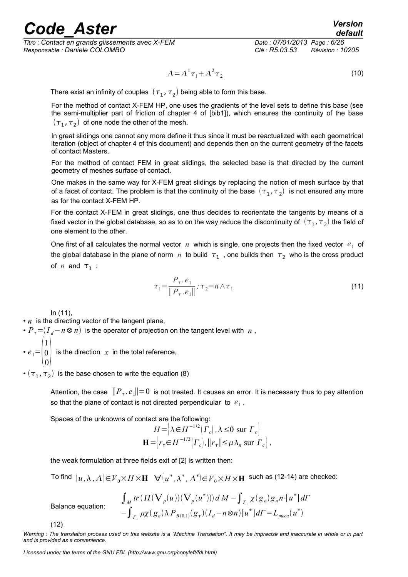### reade Aster *Version*

*Titre : Contact en grands glissements avec X-FEM Date : 07/01/2013 Page : 6/26 Responsable : Daniele COLOMBO Clé : R5.03.53 Révision : 10205*

$$
\Lambda = \Lambda^1 \tau_1 + \Lambda^2 \tau_2 \tag{10}
$$

There exist an infinity of couples  $\,(\tau_{1},\tau_{2})$  being able to form this base.

For the method of contact X-FEM HP, one uses the gradients of the level sets to define this base (see the semi-multiplier part of friction of chapter 4 of [bib1]), which ensures the continuity of the base  $(\bm{\tau}_1,\bm{\tau}_2)$  of one node the other of the mesh.

In great slidings one cannot any more define it thus since it must be reactualized with each geometrical iteration (object of chapter 4 of this document) and depends then on the current geometry of the facets of contact Masters.

For the method of contact FEM in great slidings, the selected base is that directed by the current geometry of meshes surface of contact.

One makes in the same way for X-FEM great slidings by replacing the notion of mesh surface by that of a facet of contact. The problem is that the continuity of the base  $\,(\tau_{\,1},\tau_{\,2})\,$  is not ensured any more as for the contact X-FEM HP.

For the contact X-FEM in great slidings, one thus decides to reorientate the tangents by means of a fixed vector in the global database, so as to on the way reduce the discontinuity of  $\ (\tau_1,\tau_2)$  the field of one element to the other.

One first of all calculates the normal vector  $n$  which is single, one projects then the fixed vector  $e_1$  of the global database in the plane of norm  $|n|$  to build  $|\tau_1|$  , one builds then  $|\tau_2|$  who is the cross product of  $n$  and  $\tau_1$  :

$$
\tau_1 = \frac{P_\tau . e_1}{\|P_\tau . e_1\|} ; \tau_2 = n \wedge \tau_1 \tag{11}
$$

In (11),

 $\cdot$  *n* is the directing vector of the tangent plane,

•  $P_{\tau}$ = $(I_d - n \otimes n)$  is the operator of projection on the tangent level with  $n$ ,

 $\cdot e_1 = \begin{bmatrix} 0 \\ 0 \end{bmatrix}$ 1 0  $\begin{bmatrix} 0 \\ 0 \end{bmatrix}$ is the direction  $x$  in the total reference,

 $\cdot$   $(\tau_1, \tau_2)$  is the base chosen to write the equation (8)

Attention, the case  $\; \| P_{\tau} . e_1\| {=} 0\;$  is not treated. It causes an error. It is necessary thus to pay attention so that the plane of contact is not directed perpendicular to  $|e_1|$ .

Spaces of the unknowns of contact are the following:

$$
H = \left[ \lambda \in H^{-1/2}(\Gamma_c), \lambda \le 0 \text{ sur } \Gamma_c \right]
$$
  

$$
\mathbf{H} = \left[ r_\tau \in H^{-1/2}(\Gamma_c), ||r_\tau|| \le \mu \lambda_n \text{ sur } \Gamma_c \right],
$$

the weak formulation at three fields exit of [2] is written then:

 $\mathsf{Mod}\ \left[ u\, ,\Lambda\, ,\Lambda\right] \!\!\in\!\! V_0\!\!\times\! H\!\times\! \mathbf{H}\ \ \, \forall \! \left( u^*,\Lambda^*,\Lambda^*\right] \!\!\in\! V_0\!\times\! H\!\times\! \mathbf{H}\ \ \, \mathsf{such} \text{ as (12-14) are checked:}$ 

$$
\int_M tr \left( \Pi(\nabla_p(u))(\nabla_p(u^*)) \right) dM - \int_{\Gamma_c} \chi(g_n)g_n n \cdot [u^*] d\Gamma
$$
  
\n
$$
- \int_{\Gamma_c} \mu \chi(g_n) \lambda P_{B(0,1)}(g_\tau) (I_d - n \otimes n) [u^*] d\Gamma = L_{meca}(u^*)
$$

(12)

*Warning : The translation process used on this website is a "Machine Translation". It may be imprecise and inaccurate in whole or in part and is provided as a convenience.*

*Licensed under the terms of the GNU FDL (http://www.gnu.org/copyleft/fdl.html)*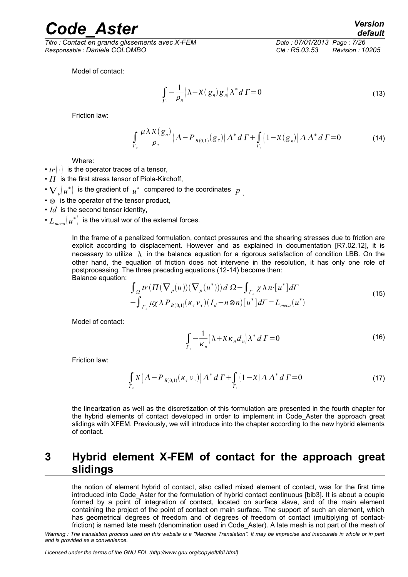*Titre : Contact en grands glissements avec X-FEM Date : 07/01/2013 Page : 7/26 Responsable : Daniele COLOMBO Clé : R5.03.53 Révision : 10205*

Model of contact:

$$
\int_{\Gamma_c} -\frac{1}{\rho_n} \left( \lambda - \chi(g_n) g_n \right) \lambda^* d\Gamma = 0 \tag{13}
$$

Friction law:

$$
\int_{\Gamma_c} \frac{\mu \lambda X(g_n)}{\rho_\tau} \left( \Lambda - P_{B(0,1)}(g_\tau) \right) \Lambda^* d\,\Gamma + \int_{\Gamma_c} \left( 1 - X(g_n) \right) \Lambda \Lambda^* d\,\Gamma = 0 \tag{14}
$$

Where:

- $tr(.)$  is the operator traces of a tensor,
- $\cdot$   $\overline{I}$  is the first stress tensor of Piola-Kirchoff,
- $\nabla_p(u^*)$  is the gradient of  $u^*$  compared to the coordinates  $|p|$ <sub>,</sub>
- ⊗ is the operator of the tensor product,
- *Id* is the second tensor identity,
- $L_{\mathit{meca}}(\mu^*)$  is the virtual wor of the external forces.

In the frame of a penalized formulation, contact pressures and the shearing stresses due to friction are explicit according to displacement. However and as explained in documentation [R7.02.12], it is necessary to utilize  $\lambda$  in the balance equation for a rigorous satisfaction of condition LBB. On the other hand, the equation of friction does not intervene in the resolution, it has only one role of postprocessing. The three preceding equations (12-14) become then: Balance equation:

$$
\int_{\Omega} tr(\Pi(\nabla_p(u))(\nabla_p(u^*))) d\Omega - \int_{\Gamma_c} \chi \lambda n \cdot [u^*] d\Gamma
$$
\n
$$
- \int_{\Gamma_c} \mu \chi \lambda P_{B(0,1)}(\kappa_\tau \nu_\tau) (I_d - n \otimes n) [u^*] d\Gamma = L_{meca}(u^*)
$$
\n(15)

Model of contact:

$$
\int_{\Gamma_c} -\frac{1}{\kappa_n} \left( \lambda + X \kappa_n d_n \right) \lambda^* d\Gamma = 0 \tag{16}
$$

Friction law:

$$
\int_{\Gamma_c} X\left(\Lambda - P_{B(0,1)}(\kappa_\tau \nu_\tau)\right) \Lambda^* d\Gamma + \int_{\Gamma_c} (1 - X) \Lambda \Lambda^* d\Gamma = 0 \tag{17}
$$

the linearization as well as the discretization of this formulation are presented in the fourth chapter for the hybrid elements of contact developed in order to implement in Code\_Aster the approach great slidings with XFEM. Previously, we will introduce into the chapter according to the new hybrid elements of contact.

#### **3 Hybrid element X-FEM of contact for the approach great slidings**

the notion of element hybrid of contact, also called mixed element of contact, was for the first time introduced into Code\_Aster for the formulation of hybrid contact continuous [bib3]. It is about a couple formed by a point of integration of contact, located on surface slave, and of the main element containing the project of the point of contact on main surface. The support of such an element, which has geometrical degrees of freedom and of degrees of freedom of contact (multiplying of contactfriction) is named late mesh (denomination used in Code\_Aster). A late mesh is not part of the mesh of

*Warning : The translation process used on this website is a "Machine Translation". It may be imprecise and inaccurate in whole or in part and is provided as a convenience.*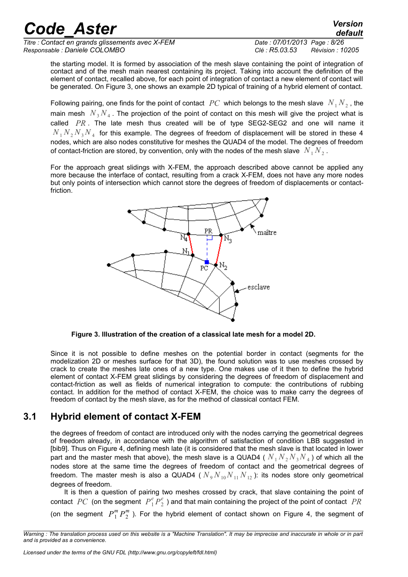*Titre : Contact en grands glissements avec X-FEM Date : 07/01/2013 Page : 8/26 Responsable : Daniele COLOMBO Clé : R5.03.53 Révision : 10205*

*default*

the starting model. It is formed by association of the mesh slave containing the point of integration of contact and of the mesh main nearest containing its project. Taking into account the definition of the element of contact, recalled above, for each point of integration of contact a new element of contact will be generated. On Figure 3, one shows an example 2D typical of training of a hybrid element of contact.

Following pairing, one finds for the point of contact  $\;PC\;$  which belongs to the mesh slave  $\;N_{1}N_{2}$  , the main mesh  $N_{3}N_{4}$  . The projection of the point of contact on this mesh will give the project what is called *PR* . The late mesh thus created will be of type SEG2-SEG2 and one will name it  $N_{1}\,N_{2}\,N_{3}\,N_{4}\,$  for this example. The degrees of freedom of displacement will be stored in these 4 nodes, which are also nodes constitutive for meshes the QUAD4 of the model. The degrees of freedom of contact-friction are stored, by convention, only with the nodes of the mesh slave  $\left|N_{1}\right|N_{2}$  .

For the approach great slidings with X-FEM, the approach described above cannot be applied any more because the interface of contact, resulting from a crack X-FEM, does not have any more nodes but only points of intersection which cannot store the degrees of freedom of displacements or contactfriction.



**Figure 3. Illustration of the creation of a classical late mesh for a model 2D.**

Since it is not possible to define meshes on the potential border in contact (segments for the modelization 2D or meshes surface for that 3D), the found solution was to use meshes crossed by crack to create the meshes late ones of a new type. One makes use of it then to define the hybrid element of contact X-FEM great slidings by considering the degrees of freedom of displacement and contact-friction as well as fields of numerical integration to compute: the contributions of rubbing contact. In addition for the method of contact X-FEM, the choice was to make carry the degrees of freedom of contact by the mesh slave, as for the method of classical contact FEM.

#### **3.1 Hybrid element of contact X-FEM**

the degrees of freedom of contact are introduced only with the nodes carrying the geometrical degrees of freedom already, in accordance with the algorithm of satisfaction of condition LBB suggested in [bib9]. Thus on Figure 4, defining mesh late (it is considered that the mesh slave is that located in lower part and the master mesh that above), the mesh slave is a QUAD4 (  $N_{1}N_{2}N_{3}N_{4}$  ) of which all the nodes store at the same time the degrees of freedom of contact and the geometrical degrees of freedom. The master mesh is also a QUAD4 ( $N_9 N_{10} N_{11} N_{12}$ ): its nodes store only geometrical degrees of freedom.

It is then a question of pairing two meshes crossed by crack, that slave containing the point of contact  $\ PC$  (on the segment  $\ P_1^eP_2^e$  ) and that main containing the project of the point of contact  $\ PR$ (on the segment  $P_1^m P_2^m$  ). For the hybrid element of contact shown on Figure 4, the segment of

*Warning : The translation process used on this website is a "Machine Translation". It may be imprecise and inaccurate in whole or in part and is provided as a convenience.*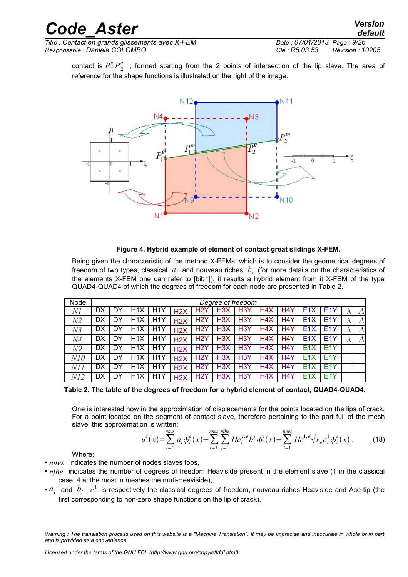contact is  $P_1^e P_2^e$  , formed starting from the 2 points of intersection of the lip slave. The area of reference for the shape functions is illustrated on the right of the image.



#### **Figure 4. Hybrid example of element of contact great slidings X-FEM.**

Being given the characteristic of the method X-FEMs, which is to consider the geometrical degrees of freedom of two types, classical  $|a_i|$  and nouveau riches  $|b_i|$  (for more details on the characteristics of the elements X-FEM one can refer to [bib1]), it results a hybrid element from it X-FEM of the type QUAD4-QUAD4 of which the degrees of freedom for each node are presented in Table 2.

| Node           |    | Degree of freedom |                  |                  |                  |                  |                  |                  |                  |                  |                  |                  |           |
|----------------|----|-------------------|------------------|------------------|------------------|------------------|------------------|------------------|------------------|------------------|------------------|------------------|-----------|
| NI             | DX | DY                | H <sub>1</sub> X | H <sub>1</sub> Y | H2X              | H <sub>2</sub> Y | H <sub>3</sub> X | H <sub>3</sub> Y | H4X              | H4Y              | E <sub>1</sub> X | E <sub>1</sub> Y | Λ         |
| N2             | DX | DY                | H <sub>1</sub> X | H <sub>1</sub> Y | H2X              | H <sub>2</sub> Y | H <sub>3</sub> X | H <sub>3</sub> Y | H <sub>4</sub> X | H <sub>4</sub> Y | E <sub>1</sub> X | E <sub>1</sub> Y | $\Lambda$ |
| N <sub>3</sub> | DX | DY                | H <sub>1</sub> X | H <sub>1</sub> Y | H2X              | H <sub>2</sub> Y | H3X              | H <sub>3</sub> Y | H4X              | H <sub>4</sub> Y | E <sub>1X</sub>  | E <sub>1</sub> Y | $\Lambda$ |
| N <sub>4</sub> | DX | DY                | H <sub>1</sub> X | H <sub>1</sub> Y | H2X              | H <sub>2</sub> Y | H <sub>3</sub> X | H <sub>3</sub> Y | H <sub>4</sub> X | H <sub>4</sub> Y | E <sub>1X</sub>  | E <sub>1</sub> Y | $\Lambda$ |
| N9             | DX | DY                | H <sub>1</sub> X | H <sub>1</sub> Y | H2X              | H <sub>2</sub> Y | H <sub>3</sub> X | H <sub>3</sub> Y | H <sub>4</sub> X | H <sub>4</sub> Y | E1X              | E <sub>1</sub> Y |           |
| N10            | DX | DY                | H <sub>1</sub> X | H <sub>1</sub> Y | H2X              | H <sub>2</sub> Y | H <sub>3</sub> X | H <sub>3</sub> Y | H <sub>4</sub> X | H <sub>4</sub> Y | E1X              | E <sub>1</sub> Y |           |
| N1 1           | DX | DY                | H <sub>1</sub> X | H <sub>1</sub> Y | H <sub>2</sub> X | H <sub>2</sub> Y | H <sub>3</sub> X | H <sub>3</sub> Y | H <sub>4</sub> X | H <sub>4</sub> Y | E1X              | E <sub>1</sub> Y |           |
| Nl2            | DX | DY                | H <sub>1</sub> X | H <sub>1</sub> Y | H2X              | H <sub>2</sub> Y | H3X              | H <sub>3</sub> Y | H <sub>4</sub> X | H <sub>4</sub> Y | E1X              | E <sub>1</sub> Y |           |

**Table 2. The table of the degrees of freedom for a hybrid element of contact, QUAD4-QUAD4.**

One is interested now in the approximation of displacements for the points located on the lips of crack. For a point located on the segment of contact slave, therefore pertaining to the part full of the mesh slave, this approximation is written:

$$
u^{e}(x) = \sum_{i=1}^{nnes} a_{i} \phi_{i}^{e}(x) + \sum_{i=1}^{nnes} \sum_{j=1}^{nfree} He_{i}^{j,e} b_{i}^{j} \phi_{i}^{e}(x) + \sum_{i=1}^{nnes} He_{i}^{1,e} \sqrt{r_{e}} c_{i}^{1} \phi_{i}^{e}(x) ,
$$
 (18)

Where:

- *nnes* indicates the number of nodes slaves tops,
- *nfhe* indicates the number of degrees of freedom Heaviside present in the element slave (1 in the classical case, 4 at the most in meshes the muti-Heaviside),
- $a_i$  and  $b_i$   $c_i^1$  is respectively the classical degrees of freedom, nouveau riches Heaviside and Ace-tip (the first corresponding to non-zero shape functions on the lip of crack),

*Warning : The translation process used on this website is a "Machine Translation". It may be imprecise and inaccurate in whole or in part and is provided as a convenience.*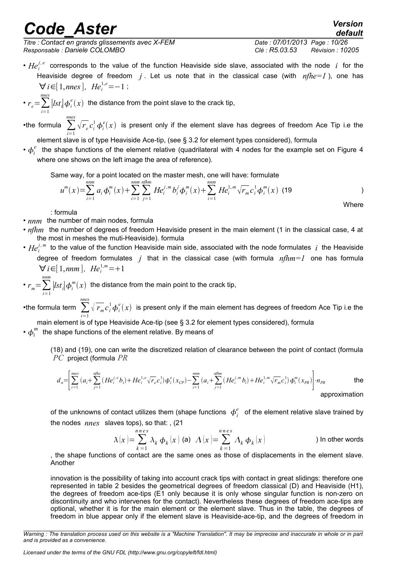*Titre : Contact en grands glissements avec X-FEM Date : 07/01/2013 Page : 10/26 Responsable : Daniele COLOMBO Clé : R5.03.53 Révision : 10205*

*default*

•  $He_i^{j,e}$  corresponds to the value of the function Heaviside side slave, associated with the node *i* for the Heaviside degree of freedom  $j$ . Let us note that in the classical case (with  $nfh = 1$ ), one has  $∀ i ∈ [1, nnes], He<sup>1,e</sup> = -1;$ 

• 
$$
r_e = \sum_{i=1}^{nnes} |lst_i| \phi_i^e(x)
$$
 the distance from the point slave to the crack tip,

•the formula ∑ *i*=1 *nnes*  $\sqrt{r_{e}}c_{i}^{1}\phi_{i}^{e}(x)$  is present only if the element slave has degrees of freedom Ace Tip i.e the

element slave is of type Heaviside Ace-tip, (see § 3.2 for element types considered), formula

•  $\phi_i^e$  the shape functions of the element relative (quadrilateral with 4 nodes for the example set on Figure 4 where one shows on the left image the area of reference).

Same way, for a point located on the master mesh, one will have: formulate

$$
u^{m}(x) = \sum_{i=1}^{nnm} a_{i} \phi_{i}^{m}(x) + \sum_{i=1}^{nnm} \sum_{j=1}^{nflm} He_{i}^{j,m} b_{i}^{j} \phi_{i}^{m}(x) + \sum_{i=1}^{nnm} He_{i}^{1,m} \sqrt{r_{m}} c_{i}^{1} \phi_{i}^{m}(x)
$$
 (19

: formula

- $nnm$  the number of main nodes, formula
- *nfhm* the number of degrees of freedom Heaviside present in the main element (1 in the classical case, 4 at the most in meshes the muti-Heaviside). formula
- $He_i^{j,m}$  to the value of the function Heaviside main side, associated with the node formulates  $i$  the Heaviside degree of freedom formulates *j* that in the classical case (with formula *nfhm=1* one has formula  $∀ i ∈ [1, nnm], He<sup>1,m</sup><sub>i</sub> = +1$

•  $r_m = \sum_{i=1}^n$ *nnm*  $\left| \textit{lst}_i \right| \boldsymbol{\phi}_i^m(x)$  the distance from the main point to the crack tip,

•the formula term ∑ *i*=1 *nnes*  $\sqrt[r]{r_{m}}c_{i}^{1}\boldsymbol{\phi}_{i}^{e}(x)$  is present only if the main element has degrees of freedom Ace Tip i.e the

main element is of type Heaviside Ace-tip (see § 3.2 for element types considered), formula  $\cdot$   $\phi_i^{\textit{m}}\,$  the shape functions of the element relative. By means of

(18) and (19), one can write the discretized relation of clearance between the point of contact (formula *PC* project (formula *PR*

$$
d_n = \left[ \sum_{i=1}^{m \text{ens}} (a_i + \sum_{j=1}^{n \text{fhe}} (He_i^{j,e}b_i) + He_i^{1,e} \sqrt{r_e}c_i^1) \phi_i^e(x_{CP}) - \sum_{i=1}^{n \text{rme}} (a_i + \sum_{j=1}^{n \text{fhe}} (He_i^{j,m}b_i) + He_i^{1,m} \sqrt{r_m}c_i^1) \phi_i^m(x_{PR}) \right] \cdot n_{PR}
$$
 the approximation

of the unknowns of contact utilizes them (shape functions  $\phi_i^e$  of the element relative slave trained by the nodes *nnes* slaves tops), so that: , (21

$$
\lambda\left(x\right) = \sum_{k=1}^{n \text{ n es}} \lambda_k \, \phi_k\left(x\right) \text{ (a)} \quad \Lambda\left(x\right) = \sum_{k=1}^{n \text{ n es}} \Lambda_k \, \phi_k\left(x\right) \tag{In other words}
$$

, the shape functions of contact are the same ones as those of displacements in the element slave. Another

innovation is the possibility of taking into account crack tips with contact in great slidings: therefore one represented in table 2 besides the geometrical degrees of freedom classical (D) and Heaviside (H1), the degrees of freedom ace-tips (E1 only because it is only whose singular function is non-zero on discontinuity and who intervenes for the contact). Nevertheless these degrees of freedom ace-tips are optional, whether it is for the main element or the element slave. Thus in the table, the degrees of freedom in blue appear only if the element slave is Heaviside-ace-tip, and the degrees of freedom in

*Warning : The translation process used on this website is a "Machine Translation". It may be imprecise and inaccurate in whole or in part and is provided as a convenience.*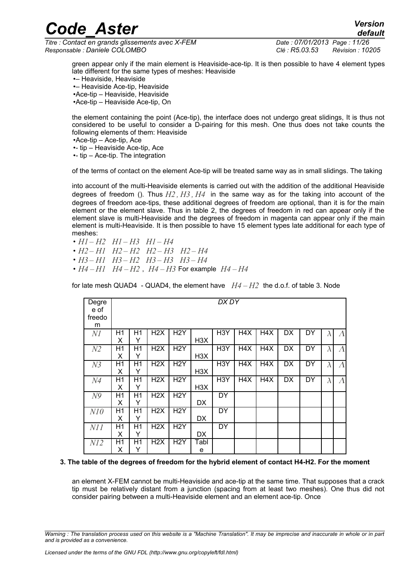*Titre : Contact en grands glissements avec X-FEM Date : 07/01/2013 Page : 11/26 Responsable : Daniele COLOMBO Clé : R5.03.53 Révision : 10205*

*default*

green appear only if the main element is Heaviside-ace-tip. It is then possible to have 4 element types late different for the same types of meshes: Heaviside •– Heaviside, Heaviside •– Heaviside Ace-tip, Heaviside •Ace-tip – Heaviside, Heaviside •Ace-tip – Heaviside Ace-tip, On

the element containing the point (Ace-tip), the interface does not undergo great slidings, It is thus not considered to be useful to consider a D-pairing for this mesh. One thus does not take counts the following elements of them: Heaviside

•Ace-tip – Ace-tip, Ace

•- tip – Heaviside Ace-tip, Ace

•- tip – Ace-tip. The integration

of the terms of contact on the element Ace-tip will be treated same way as in small slidings. The taking

into account of the multi-Heaviside elements is carried out with the addition of the additional Heaviside degrees of freedom (). Thus *H2 , H3 , H4* in the same way as for the taking into account of the degrees of freedom ace-tips, these additional degrees of freedom are optional, than it is for the main element or the element slave. Thus in table 2, the degrees of freedom in red can appear only if the element slave is multi-Heaviside and the degrees of freedom in magenta can appear only if the main element is multi-Heaviside. It is then possible to have 15 element types late additional for each type of meshes:

- *H1 – H2 H1 – H3 H1 – H4*
- *H2 – H1 H2 – H2 H2 – H3 H2 – H4*
- *H3 – H1 H3 – H2 H3 – H3 H3 – H4*
- $H4 H1$   $H4 H2$ ,  $H4 H3$  For example  $H4 H4$

for late mesh QUAD4 - QUAD4, the element have *H4 – H2* the d.o.f. of table 3. Node

| Degre          |    | DX DY          |                  |                  |                  |                  |                  |     |           |    |           |           |
|----------------|----|----------------|------------------|------------------|------------------|------------------|------------------|-----|-----------|----|-----------|-----------|
| e of           |    |                |                  |                  |                  |                  |                  |     |           |    |           |           |
| freedo         |    |                |                  |                  |                  |                  |                  |     |           |    |           |           |
| m              |    |                |                  |                  |                  |                  |                  |     |           |    |           |           |
| NI             | H1 | H <sub>1</sub> | H2X              | H <sub>2</sub> Y |                  | H <sub>3</sub> Y | H4X              | H4X | DX        | DY | $\lambda$ | $\Lambda$ |
|                | X  | Y              |                  |                  | H <sub>3</sub> X |                  |                  |     |           |    |           |           |
| N2             | H1 | H <sub>1</sub> | H2X              | H <sub>2</sub> Y |                  | H <sub>3</sub> Y | H <sub>4</sub> X | H4X | DX        | DY | $\lambda$ | $\Lambda$ |
|                | Х  | Y              |                  |                  | H <sub>3</sub> X |                  |                  |     |           |    |           |           |
| N <sub>3</sub> | H1 | H <sub>1</sub> | H2X              | H <sub>2</sub> Y |                  | H <sub>3</sub> Y | H4X              | H4X | <b>DX</b> | DY | $\lambda$ | $\Lambda$ |
|                | Х  | Y              |                  |                  | H <sub>3</sub> X |                  |                  |     |           |    |           |           |
| N <sub>4</sub> | H1 | H1             | H2X              | H <sub>2</sub> Y |                  | H <sub>3</sub> Y | H4X              | H4X | <b>DX</b> | DY | $\lambda$ | $\Lambda$ |
|                | Х  | Y              |                  |                  | H3X              |                  |                  |     |           |    |           |           |
| N <sup>9</sup> | H1 | H <sub>1</sub> | H <sub>2</sub> X | H <sub>2</sub> Y |                  | DY               |                  |     |           |    |           |           |
|                | Х  | Y              |                  |                  | DX               |                  |                  |     |           |    |           |           |
| N10            | H1 | H1             | H <sub>2</sub> X | H <sub>2</sub> Y |                  | DY               |                  |     |           |    |           |           |
|                | X  | Y              |                  |                  | DX               |                  |                  |     |           |    |           |           |
| NII            | H1 | H1             | H2X              | H <sub>2</sub> Y |                  | <b>DY</b>        |                  |     |           |    |           |           |
|                | X  | Y              |                  |                  | DX               |                  |                  |     |           |    |           |           |
| NI2            | H1 | H1             | H2X              | H <sub>2</sub> Y | Tabl             |                  |                  |     |           |    |           |           |
|                | х  | Υ              |                  |                  | е                |                  |                  |     |           |    |           |           |

#### **3. The table of the degrees of freedom for the hybrid element of contact H4-H2. For the moment**

an element X-FEM cannot be multi-Heaviside and ace-tip at the same time. That supposes that a crack tip must be relatively distant from a junction (spacing from at least two meshes). One thus did not consider pairing between a multi-Heaviside element and an element ace-tip. Once

*Warning : The translation process used on this website is a "Machine Translation". It may be imprecise and inaccurate in whole or in part and is provided as a convenience.*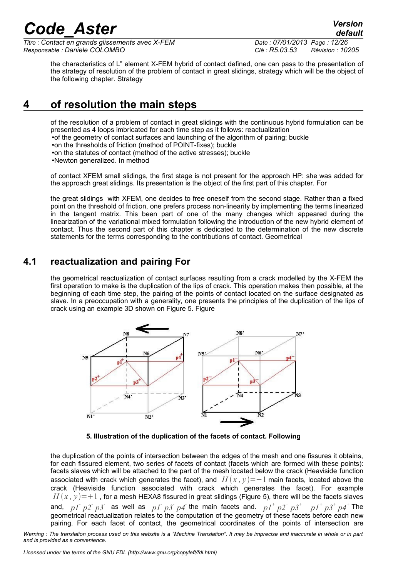*Titre : Contact en grands glissements avec X-FEM Date : 07/01/2013 Page : 12/26 Responsable : Daniele COLOMBO Clé : R5.03.53 Révision : 10205*

the characteristics of L" element X-FEM hybrid of contact defined, one can pass to the presentation of the strategy of resolution of the problem of contact in great slidings, strategy which will be the object of the following chapter. Strategy

#### **4 of resolution the main steps**

of the resolution of a problem of contact in great slidings with the continuous hybrid formulation can be presented as 4 loops imbricated for each time step as it follows: reactualization •of the geometry of contact surfaces and launching of the algorithm of pairing; buckle

•on the thresholds of friction (method of POINT-fixes); buckle

•on the statutes of contact (method of the active stresses); buckle

•Newton generalized. In method

of contact XFEM small slidings, the first stage is not present for the approach HP: she was added for the approach great slidings. Its presentation is the object of the first part of this chapter. For

the great slidings with XFEM, one decides to free oneself from the second stage. Rather than a fixed point on the threshold of friction, one prefers process non-linearity by implementing the terms linearized in the tangent matrix. This been part of one of the many changes which appeared during the linearization of the variational mixed formulation following the introduction of the new hybrid element of contact. Thus the second part of this chapter is dedicated to the determination of the new discrete statements for the terms corresponding to the contributions of contact. Geometrical

#### **4.1 reactualization and pairing For**

the geometrical reactualization of contact surfaces resulting from a crack modelled by the X-FEM the first operation to make is the duplication of the lips of crack. This operation makes then possible, at the beginning of each time step, the pairing of the points of contact located on the surface designated as slave. In a preoccupation with a generality, one presents the principles of the duplication of the lips of crack using an example 3D shown on Figure 5. Figure



**5. Illustration of the duplication of the facets of contact. Following**

the duplication of the points of intersection between the edges of the mesh and one fissures it obtains, for each fissured element, two series of facets of contact (facets which are formed with these points): facets slaves which will be attached to the part of the mesh located below the crack (Heaviside function associated with crack which generates the facet), and  $H(x, y) = -1$  main facets, located above the crack (Heaviside function associated with crack which generates the facet). For example  $H(x, y) = +1$ , for a mesh HEXA8 fissured in great slidings (Figure 5), there will be the facets slaves and,  $pI^+p2^+p3^-$  as well as  $pI^+p3^-p4$  the main facets and.  $pI^+p2^+p3^+$  $p1^+$   $p3^+$   $p4^+$  The geometrical reactualization relates to the computation of the geometry of these facets before each new pairing. For each facet of contact, the geometrical coordinates of the points of intersection are

*Warning : The translation process used on this website is a "Machine Translation". It may be imprecise and inaccurate in whole or in part and is provided as a convenience.*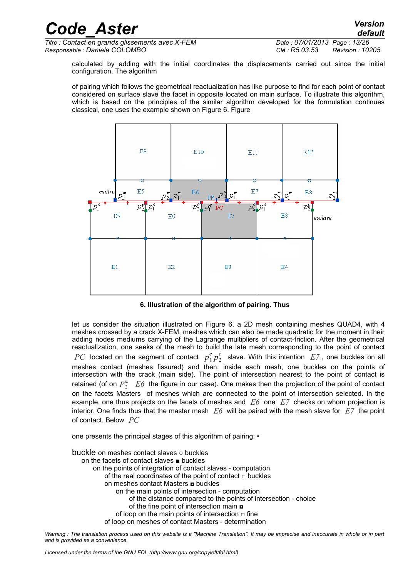*Titre : Contact en grands glissements avec X-FEM Date : 07/01/2013 Page : 13/26 Responsable : Daniele COLOMBO Clé : R5.03.53 Révision : 10205*

calculated by adding with the initial coordinates the displacements carried out since the initial configuration. The algorithm

of pairing which follows the geometrical reactualization has like purpose to find for each point of contact considered on surface slave the facet in opposite located on main surface. To illustrate this algorithm, which is based on the principles of the similar algorithm developed for the formulation continues classical, one uses the example shown on Figure 6. Figure





let us consider the situation illustrated on Figure 6, a 2D mesh containing meshes QUAD4, with 4 meshes crossed by a crack X-FEM, meshes which can also be made quadratic for the moment in their adding nodes mediums carrying of the Lagrange multipliers of contact-friction. After the geometrical reactualization, one seeks of the mesh to build the late mesh corresponding to the point of contact  $PC$  located on the segment of contact  $p_1^e p_2^e$  slave. With this intention  $E7$ , one buckles on all meshes contact (meshes fissured) and then, inside each mesh, one buckles on the points of intersection with the crack (main side). The point of intersection nearest to the point of contact is retained (of on  $P_2^m$   $E6$  the figure in our case). One makes then the projection of the point of contact on the facets Masters of meshes which are connected to the point of intersection selected. In the example, one thus projects on the facets of meshes and *E6* one *E7* checks on whom projection is interior. One finds thus that the master mesh *E6* will be paired with the mesh slave for *E7* the point of contact. Below *PC*

one presents the principal stages of this algorithm of pairing: •

buckle on meshes contact slaves ○ buckles on the facets of contact slaves ■ buckles on the points of integration of contact slaves - computation of the real coordinates of the point of contact □ buckles on meshes contact Masters **¤** buckles on the main points of intersection - computation of the distance compared to the points of intersection - choice of the fine point of intersection main  $\blacksquare$ of loop on the main points of intersection  $\Box$  fine of loop on meshes of contact Masters - determination

*Warning : The translation process used on this website is a "Machine Translation". It may be imprecise and inaccurate in whole or in part and is provided as a convenience.*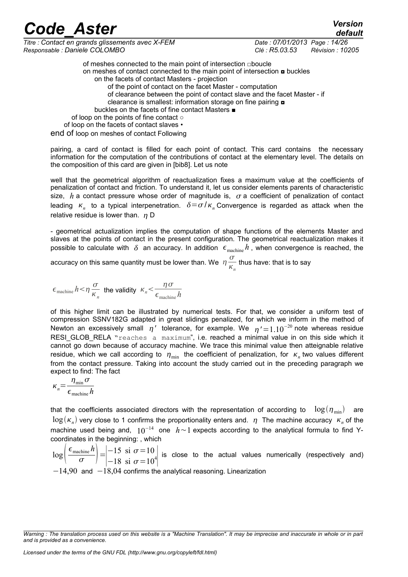*Titre : Contact en grands glissements avec X-FEM Date : 07/01/2013 Page : 14/26 Responsable : Daniele COLOMBO Clé : R5.03.53 Révision : 10205*

*default*

of meshes connected to the main point of intersection □boucle on meshes of contact connected to the main point of intersection  $\Box$  buckles on the facets of contact Masters - projection of the point of contact on the facet Master - computation of clearance between the point of contact slave and the facet Master - if clearance is smallest: information storage on fine pairing  $\Box$  buckles on the facets of fine contact Masters ■ of loop on the points of fine contact ○ of loop on the facets of contact slaves • end of loop on meshes of contact Following

pairing, a card of contact is filled for each point of contact. This card contains the necessary information for the computation of the contributions of contact at the elementary level. The details on the composition of this card are given in [bib8]. Let us note

well that the geometrical algorithm of reactualization fixes a maximum value at the coefficients of penalization of contact and friction. To understand it, let us consider elements parents of characteristic size,  $h$  a contact pressure whose order of magnitude is,  $\sigma$  a coefficient of penalization of contact leading  $\kappa_n$  to a typical interpenetration.  $\delta = \sigma / \kappa_n$  Convergence is regarded as attack when the relative residue is lower than.  $n \, D$ 

- geometrical actualization implies the computation of shape functions of the elements Master and slaves at the points of contact in the present configuration. The geometrical reactualization makes it possible to calculate with  $\delta$  an accuracy. In addition  $\epsilon_{\text{machine}} h$ , when convergence is reached, the

accuracy on this same quantity must be lower than. We  $\eta \frac{\sigma}{\sigma}$  $\frac{\sigma}{K_n}$  thus have: that is to say

$$
\epsilon_{\text{machine}} h \! < \! \eta \, \frac{\sigma}{\kappa_n} \text{ the validity } \kappa_n \! < \! \frac{\eta \, \sigma}{\epsilon_{\text{machine}} h}
$$

of this higher limit can be illustrated by numerical tests. For that, we consider a uniform test of compression SSNV182G adapted in great slidings penalized, for which we inform in the method of Newton an excessively small  $\eta'$  tolerance, for example. We  $\eta' = 1.10^{-20}$  note whereas residue RESI GLOB RELA "reaches a maximum", i.e. reached a minimal value in on this side which it cannot go down because of accuracy machine. We trace this minimal value then atteignable relative residue, which we call according to  $\eta_{\min}$  the coefficient of penalization, for  $\kappa_n$  two values different from the contact pressure. Taking into account the study carried out in the preceding paragraph we expect to find: The fact

$$
\kappa_n = \frac{\eta_{\min} \sigma}{\epsilon_{\text{machine}} h}
$$

that the coefficients associated directors with the representation of according to  $log(\eta_{min})$  are  $\log(\kappa_n)$  very close to 1 confirms the proportionality enters and.  $\,\eta\,$  The machine accuracy  $\,\kappa_n^{}$  of the machine used being and, 10<sup>-14</sup> one *h*∼1 expects according to the analytical formula to find Ycoordinates in the beginning: , which

 $log^{-1}$  $\epsilon$ <sub>machine</sub> $h$  $\left| \frac{\text{chine} h}{\sigma} \right| = \begin{vmatrix} -15 & \text{si } \sigma = 10 \\ -18 & \text{si } \sigma = 10 \end{vmatrix}$  $\begin{vmatrix} 13 & 31 & 0 & -10 \\ -18 & 8i & \sigma =10^4 \end{vmatrix}$  is close to the actual values numerically (respectively and)  $-14,90$  and  $-18,04$  confirms the analytical reasoning. Linearization

*Warning : The translation process used on this website is a "Machine Translation". It may be imprecise and inaccurate in whole or in part and is provided as a convenience.*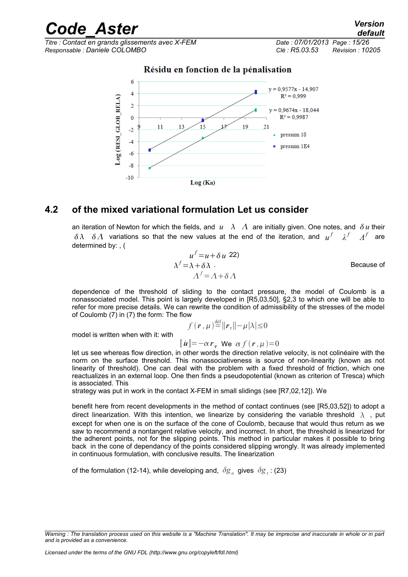*Titre : Contact en grands glissements avec X-FEM Date : 07/01/2013 Page : 15/26 Responsable : Daniele COLOMBO Clé : R5.03.53 Révision : 10205*



Log (Kn)

Résidu en fonction de la pénalisation

#### **4.2 of the mixed variational formulation Let us consider**

an iteration of Newton for which the fields, and  $u \lambda \Lambda$  are initially given. One notes, and  $\delta u$  their *δ λ δ Λ* variations so that the new values at the end of the iteration, and  $u^f$  *λ*<sup>*f*</sup>  $\Lambda^f$  are determined by: , (

$$
u^{f} = u + \delta u \t{22}
$$
  
\n
$$
\lambda^{f} = \lambda + \delta \lambda
$$
  
\n
$$
\Lambda^{f} = \Lambda + \delta \Lambda
$$
  
\nBecause of

dependence of the threshold of sliding to the contact pressure, the model of Coulomb is a nonassociated model. This point is largely developed in [R5,03,50], §2,3 to which one will be able to refer for more precise details. We can rewrite the condition of admissibility of the stresses of the model of Coulomb (7) in [\(7\)](#page-4-2) the form: The flow

$$
f(r,\mu) \stackrel{\text{def}}{=} ||r_\tau|| - \mu |\lambda| \le 0
$$

model is written when with it: with

$$
\llbracket \mathbf{\dot{u}} \rrbracket = -\alpha r_{\tau} \text{ We } \alpha f(r, \mu) = 0
$$

let us see whereas flow direction, in other words the direction relative velocity, is not colinéaire with the norm on the surface threshold. This nonassociativeness is source of non-linearity (known as not linearity of threshold). One can deal with the problem with a fixed threshold of friction, which one reactualizes in an external loop. One then finds a pseudopotential (known as criterion of Tresca) which is associated. This

strategy was put in work in the contact X-FEM in small slidings (see [R7,02,12]). We

benefit here from recent developments in the method of contact continues (see [R5,03,52]) to adopt a direct linearization. With this intention, we linearize by considering the variable threshold  $\lambda$ , put except for when one is on the surface of the cone of Coulomb, because that would thus return as we saw to recommend a nontangent relative velocity, and incorrect. In short, the threshold is linearized for the adherent points, not for the slipping points. This method in particular makes it possible to bring back in the cone of dependancy of the points considered slipping wrongly. It was already implemented in continuous formulation, with conclusive results. The linearization

of the formulation (12-14), while developing and,  $\delta g_{n}^{\dagger}$  gives  $\delta g_{\tau}^{\dagger}$ : (23)

*Warning : The translation process used on this website is a "Machine Translation". It may be imprecise and inaccurate in whole or in part and is provided as a convenience.*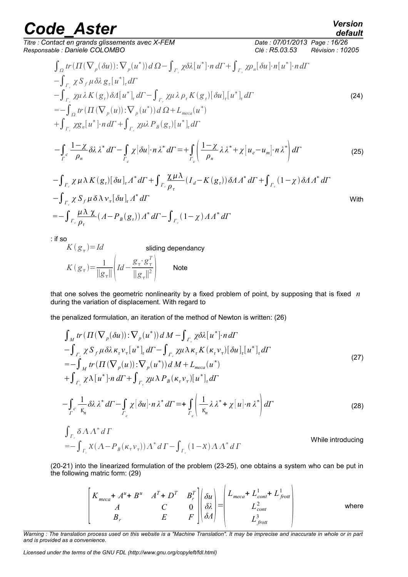*Titre : Contact en grands glissements avec X-FEM Date : 07/01/2013 Page : 16/26 Responsable : Daniele COLOMBO Clé : R5.03.53 Révision : 10205*

$$
\int_{\Omega} tr(\Pi(\nabla_{p}(\delta u)) : \nabla_{p}(u^{*})) d\Omega - \int_{\Gamma_{c}} \chi \delta \lambda[u^{*}] \cdot n \, d\Gamma + \int_{\Gamma_{c}} \chi \rho_{n}[\delta u] \cdot n[u^{*}] \cdot n \, d\Gamma
$$
\n
$$
- \int_{\Gamma_{c}} \chi S_{f} \mu \delta \lambda g_{\tau}[u^{*}]_{\tau} d\Gamma
$$
\n
$$
- \int_{\Gamma_{c}} \chi \mu \lambda K(g_{\tau}) \delta \Lambda[u^{*}]_{\tau} d\Gamma - \int_{\Gamma_{c}} \chi \mu \lambda \rho_{\tau} K(g_{\tau})[\delta u]_{\tau}[u^{*}]_{\tau} d\Gamma
$$
\n
$$
= - \int_{\Omega} tr(\Pi(\nabla_{p}(u)) : \nabla_{p}(u^{*})) d\Omega + L_{meca}(u^{*})
$$
\n
$$
+ \int_{\Gamma_{c}} \chi g_{n}[u^{*}] \cdot n \, d\Gamma + \int_{\Gamma_{c}} \chi \mu \lambda P_{B}(g_{\tau})[u^{*}]_{\tau} d\Gamma
$$
\n
$$
- \int_{\Gamma} \frac{1 - \chi}{\rho_{n}} \delta \lambda \lambda^{*} d\Gamma - \int_{\Gamma_{c}} \chi[\delta u] \cdot n \lambda^{*} d\Gamma = + \int_{\Gamma_{c}} \left( \frac{1 - \chi}{\rho_{n}} \lambda \lambda^{*} + \chi[u_{e} - u_{m}] \cdot n \lambda^{*} \right) d\Gamma
$$
\n
$$
- \int_{\Gamma_{c}} \chi \mu \lambda K(g_{\tau})[\delta u]_{\tau} \Lambda^{*} d\Gamma + \int_{\Gamma_{c}} \frac{\chi \mu \lambda}{\rho_{\tau}} (I_{d} - K(g_{\tau})) \delta \Lambda \Lambda^{*} d\Gamma + \int_{\Gamma_{c}} (1 - \chi) \delta \Lambda \Lambda^{*} d\Gamma
$$
\n
$$
- \int_{\Gamma_{c}} \chi S_{f} \mu \delta \lambda \nu_{\tau}[\delta u]_{\tau} \Lambda^{*} d\Gamma
$$
\nwith\n
$$
= - \int_{\Gamma_{c}} \frac{\mu \lambda \chi}{\rho_{\tau}} (A - P_{B}(g_{\tau})) \Lambda^{*} d\Gamma - \int_{\Gamma_{c}} (1 - \chi) \Lambda \Lambda^{*} d\Gamma
$$

*default*

: if so

$$
K(g_{\tau}) = Id
$$
 sliding dependency  

$$
K(g_{\tau}) = \frac{1}{\|g_{\tau}\|} \left( Id - \frac{g_{\tau} \cdot g_{\tau}^{T}}{\|g_{\tau}\|^2} \right)
$$
Note

that one solves the geometric nonlinearity by a fixed problem of point, by supposing that is fixed *n* during the variation of displacement. With regard to

the penalized formulation, an iteration of the method of Newton is written: (26)

$$
\int_{M} tr(\Pi(\nabla_{p}(\delta u)) : \nabla_{p}(u^{*})) d M - \int_{\Gamma_{c}} \chi \delta \lambda[u^{*}] \cdot n d\Gamma
$$
\n
$$
- \int_{\Gamma_{c}} \chi S_{f} \mu \delta \lambda \kappa_{\tau} \nu_{\tau}[u^{*}]_{\tau} d\Gamma - \int_{\Gamma_{c}} \chi \mu \lambda \kappa_{\tau} K(\kappa_{\tau} \nu_{\tau})[\delta u]_{\tau}[u^{*}]_{\tau} d\Gamma
$$
\n
$$
= - \int_{M} tr(\Pi(\nabla_{p}(u)) : \nabla_{p}(u^{*})) d M + L_{meca}(u^{*})
$$
\n
$$
+ \int_{\Gamma_{c}} \chi \lambda[u^{*}] \cdot n d\Gamma + \int_{\Gamma_{c}} \chi \mu \lambda P_{B}(\kappa_{\tau} \nu_{\tau})[u^{*}]_{\tau} d\Gamma
$$
\n(27)

$$
-\int_{\Gamma} \frac{1}{\kappa_n} \delta \lambda \lambda^* d\Gamma - \int_{\Gamma_c} \chi [\delta u] \cdot n \lambda^* d\Gamma = + \int_{\Gamma_c} \left( \frac{1}{\kappa_n} \lambda \lambda^* + \chi [u] \cdot n \lambda^* \right) d\Gamma \tag{28}
$$

$$
\int_{\Gamma_c} \delta \Lambda \Lambda^* d\Gamma
$$
\n
$$
= -\int_{\Gamma_c} \chi(\Lambda - P_B(\kappa_\tau \nu_\tau)) \Lambda^* d\Gamma - \int_{\Gamma_c} (1 - \chi) \Lambda \Lambda^* d\Gamma
$$
\nWhile introducing

(20-21) into the linearized formulation of the problem (23-25), one obtains a system who can be put in the following matric form: (29)

$$
\begin{bmatrix}\nK_{meca} + A^u + B^u & A^T + D^T & B_r^T \\
A & C & 0 \\
B_r & E & F\n\end{bmatrix}\n\begin{bmatrix}\n\delta u \\
\delta \lambda \\
\delta A\n\end{bmatrix} =\n\begin{bmatrix}\nL_{meca} + L_{cont}^1 + L_{front}^1 \\
L_{cont}^2 \\
L_{cont}^3 \\
L_{foot}^3\n\end{bmatrix}
$$
 where

*Warning : The translation process used on this website is a "Machine Translation". It may be imprecise and inaccurate in whole or in part and is provided as a convenience.*

*Licensed under the terms of the GNU FDL (http://www.gnu.org/copyleft/fdl.html)*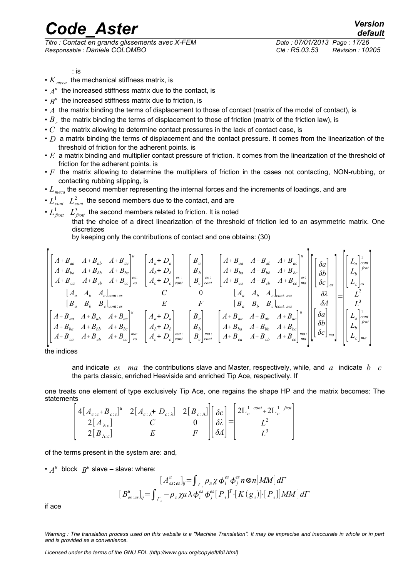*Titre : Contact en grands glissements avec X-FEM Date : 07/01/2013 Page : 17/26 Responsable : Daniele COLOMBO Clé : R5.03.53 Révision : 10205*

*default*

- : is
- *K meca* the mechanical stiffness matrix, is
- $\cdot$   $A^u$  the increased stiffness matrix due to the contact, is
- $\bullet$   $B^u$  the increased stiffness matrix due to friction, is
- *A* the matrix binding the terms of displacement to those of contact (matrix of the model of contact), is
- $\bullet$   $B_{_r}$  the matrix binding the terms of displacement to those of friction (matrix of the friction law), is
- *C* the matrix allowing to determine contact pressures in the lack of contact case, is
- *D* a matrix binding the terms of displacement and the contact pressure. It comes from the linearization of the threshold of friction for the adherent points. is
- *E* a matrix binding and multiplier contact pressure of friction. It comes from the linearization of the threshold of friction for the adherent points. is
- *F* the matrix allowing to determine the multipliers of friction in the cases not contacting, NON-rubbing, or contacting rubbing slipping, is
- $L_{\text{mees}}$  the second member representing the internal forces and the increments of loadings, and are
- $L^1_{\text{cont}}$   $L^2_{\text{cont}}$  the second members due to the contact, and are

•  $L_{\text{front}}^1$   $L_{\text{front}}^3$  the second members related to friction. It is noted that the choice of a direct linearization of the threshold of friction led to an asymmetric matrix. One discretizes by keeping only the contributions of contact and one obtains: (30)

$$
\begin{bmatrix}\nA+B_{aa} & A+B_{ab} & A+B_{ac} \\
A+B_{ba} & A+B_{bb} & A+B_{bc} \\
A+B_{ca} & A+B_{cb} & A+B_{cc}\n\end{bmatrix}\n\begin{bmatrix}\na \\
A_b+D_b \\
B_b \\
B_c\n\end{bmatrix}\n\begin{bmatrix}\nB_a \\
B_b \\
B_c\n\end{bmatrix}\n\begin{bmatrix}\nA+B_{aa} & A+B_{ab} & A+B_{ac} \\
A+B_{ba} & A+B_{bb} & A+B_{bc} \\
A+B_{ba} & A+B_{bb} & A+B_{bc}\n\end{bmatrix}\n\begin{bmatrix}\nB_a \\
B_b \\
B_c\n\end{bmatrix}\n\begin{bmatrix}\nA+B_{aa} & A+B_{ab} & A+B_{ac} \\
A+B_{ba} & A+B_{bb} & A+B_{bc} \\
A+B_{ca} & A+B_{ca}\n\end{bmatrix}\n\begin{bmatrix}\n\delta a \\
\delta b \\
\delta c\n\end{bmatrix}\n\begin{bmatrix}\nB \\ B \\ B \\ C\n\end{bmatrix}\n\begin{bmatrix}\nL_a\n\end{bmatrix}\n\begin{bmatrix}\nL_a\n\end{bmatrix}\n\begin{bmatrix}\nL_a\n\end{bmatrix}\n\begin{bmatrix}\nL_a\n\end{bmatrix}\n\begin{bmatrix}\n\delta a \\
L_b\n\end{bmatrix}\n\begin{bmatrix}\nL_a\n\end{bmatrix}\n\begin{bmatrix}\nL_a\n\end{bmatrix}\n\begin{bmatrix}\n\delta a \\
L_c\n\end{bmatrix}\n\begin{bmatrix}\nL_a\n\end{bmatrix}\n\begin{bmatrix}\n\delta a \\
\delta c\n\end{bmatrix}\n\begin{bmatrix}\nL_a\n\end{bmatrix}\n\begin{bmatrix}\nL_a\n\end{bmatrix}\n\begin{bmatrix}\nL_a\n\end{bmatrix}\n\begin{bmatrix}\n\delta a \\
L_c\n\end{bmatrix}\n\begin{bmatrix}\nL_a\n\end{bmatrix}\n\begin{bmatrix}\n\delta a \\
L_c\n\end{bmatrix}\n\begin{bmatrix}\nL_a\n\end{bmatrix}\n\begin{bmatrix}\n\delta a \\
L_c\n\end{bmatrix}\n\begin{bmatrix}\n\delta a \\
\delta b \\
\delta b\n\end{bmatrix}\n\begin{bmatrix}\nL_a\n\end{bmatrix}\n\begin{bmatrix}\nL_a\n\end{bmatrix}\n\begin{bmatrix}\nL_a\n\end{bmatrix}\n\begin{bmatrix}\n\delta a \\
L_c\n\end{bmatrix}\n\begin{bmatrix}\n\delta a \\
L
$$

the indices

and indicate *es ma* the contributions slave and Master, respectively, while, and *a* indicate *b c* the parts classic, enriched Heaviside and enriched Tip Ace, respectively. If

one treats one element of type exclusively Tip Ace, one regains the shape HP and the matrix becomes: The statements

$$
\begin{vmatrix} 4[A_{c:c} + B_{c:c}]^u & 2[A_{c:\lambda} + D_{c:\lambda}] & 2[B_{c:\lambda}] \ 2[A_{\lambda:c}] & C & 0 \ 2[B_{\lambda:c}] & E & F \end{vmatrix} \begin{bmatrix} \delta c \\ \delta \lambda \end{bmatrix} = \begin{bmatrix} 2L_c^1 \cot t + 2L_c^1 \ \delta t \\ L^2 \end{bmatrix}
$$

of the terms present in the system are: and,

•  $A^u$  block  $B^u$  slave – slave: where:

$$
[A_{es:es}^{u}]_{ij} = \int_{\Gamma_c} \rho_n \chi \phi_i^{es} \phi_j^{es} n \otimes n [MM] d\Gamma
$$
  

$$
[B_{es:es}^{u}]_{ij} = \int_{\Gamma_c} -\rho_{\tau} \chi \mu \lambda \phi_i^{es} \phi_j^{es} [P_{\tau}]^{T} [K(g_{\tau})] \cdot [P_{\tau}] [MM] d\Gamma
$$

if ace

*Warning : The translation process used on this website is a "Machine Translation". It may be imprecise and inaccurate in whole or in part and is provided as a convenience.*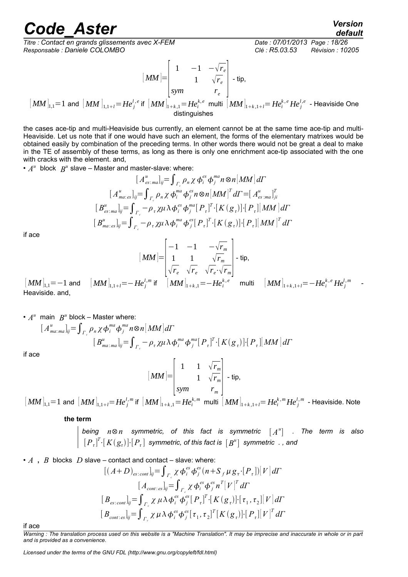*Titre : Contact en grands glissements avec X-FEM Date : 07/01/2013 Page : 18/26 Responsable : Daniele COLOMBO Clé : R5.03.53 Révision : 10205*

$$
[MM] = \begin{bmatrix} 1 & -1 & -\sqrt{r_e} \\ 1 & \sqrt{r_e} \\ sym & r_e \end{bmatrix}
$$
 - tip,

$$
[\textit{MM}]_{\mathbf{1},\mathbf{1}}\mathbf{=1} \text{ and } [\textit{MM}]_{\mathbf{1},\mathbf{1}+l}\mathbf{=H}e_{j}^{l,e} \text{ if } [\textit{MM}]_{\mathbf{1}+k,\mathbf{1}}\mathbf{=H}e_{i}^{k,e} \text{ multi } [\textit{MM}]_{\mathbf{1}+k,\mathbf{1}+l}\mathbf{=H}e_{i}^{k,e} \textit{He}_{j}^{l,e} \text{ - Heaviside One}
$$
   
 
$$
\text{distinguishes}
$$

the cases ace-tip and multi-Heaviside bus currently, an element cannot be at the same time ace-tip and multi-Heaviside. Let us note that if one would have such an element, the forms of the elementary matrixes would be obtained easily by combination of the preceding terms. In other words there would not be great a deal to make in the TE of assembly of these terms, as long as there is only one enrichment ace-tip associated with the one with cracks with the element. and,

•  $A^u$  block  $B^u$  slave – Master and master-slave: where:

$$
[A_{es \cdot ma}^{u}]_{ij} = \int_{\Gamma_c} \rho_n \chi \phi_i^{es} \phi_j^{ma} n \otimes n [MM] d\Gamma
$$
  
\n
$$
[A_{ma \cdot es}^{u}]_{ij} = \int_{\Gamma_c} \rho_n \chi \phi_i^{ma} \phi_j^{es} n \otimes n [MM]^T d\Gamma = [A_{es \cdot ma}^{u}]_{ji}^{T}
$$
  
\n
$$
[B_{es \cdot ma}^{u}]_{ij} = \int_{\Gamma_c} -\rho_{\tau} \chi \mu \lambda \phi_i^{es} \phi_j^{ma} [P_{\tau}]^T \cdot [K(g_{\tau})] \cdot [P_{\tau}] [MM] d\Gamma
$$
  
\n
$$
[B_{ma \cdot es}^{u}]_{ij} = \int_{\Gamma_c} -\rho_{\tau} \chi \mu \lambda \phi_i^{ma} \phi_j^{es} [P_{\tau}]^T \cdot [K(g_{\tau})] \cdot [P_{\tau}] [MM]^T d\Gamma
$$

if ace

$$
[MM] = \begin{bmatrix} -1 & -1 & -\sqrt{r_m} \\ 1 & 1 & \sqrt{r_m} \\ \sqrt{r_e} & \sqrt{r_e} & \sqrt{r_e} \cdot \sqrt{r_m} \end{bmatrix} - \text{tip},
$$
  
\n
$$
[Re_i^{l,m} \text{ if } [MM]_{1+k,1} = -He_i^{k,e} \text{ mul}
$$

 $\begin{bmatrix} \boldsymbol{M}\boldsymbol{M} \end{bmatrix}_{\!1,1}\!\!=\!-\boldsymbol{1}$  and  $\begin{bmatrix} \boldsymbol{M}\boldsymbol{M} \end{bmatrix}_{\!1,1+i}\!\!=\!\!-\boldsymbol{H}\boldsymbol{e}_{j}^{l,m}$  $_{1+k,1}=-He_i^k$  $\left[ \textit{MM} \right]_{1+k,1+l} = - H e^{k,\,e}_i H e^{l,\,m}_j$  -Heaviside. and,

•  $A^u$  main  $B^u$  block – Master where:

$$
[A_{\text{ma:}\text{ma}}^u]_{ij} = \int_{\Gamma_c} \rho_n \chi \phi_i^{\text{ma}} \phi_j^{\text{ma}} n \otimes n [MM] d\Gamma
$$
  
\n
$$
[B_{\text{ma:}\text{ma}}^u]_{ij} = \int_{\Gamma_c} -\rho_\tau \chi \mu \lambda \phi_i^{\text{ma}} \phi_j^{\text{ma}} [P_\tau]^T \cdot [K(g_\tau)] \cdot [P_\tau][MM] d\Gamma
$$

if ace

$$
[MM] = \begin{bmatrix} 1 & 1 & \sqrt{r_m} \\ & 1 & \sqrt{r_m} \\ \text{sym} & & r_m \end{bmatrix} - \text{tip},
$$

 $\left[~\!M\!M~\right]_{\!1,1}\!=\!1$  and  $\left[~\!M\!M~\right]_{\!1,1+i}\!=\!He^{l,m}_j$  if  $\left[~\!M\!M~\right]_{\!1+k,1}\!=\!He^{k,m}_i$  multi  $\left[~\!M\!M~\right]_{\!1+k,1+i}\!=\!He^{k,m}_iHe^{l,m}_j$  - Heaviside. Note

**the term**

*being n*⊗*n symmetric, of this fact is symmetric* [ *A u* ] *. The term is also*  $\left[P_{\,\tau}\right]^{T}\!\!\cdot\!\left[K\!\left(g_{\tau}\right)\right]\!\!\cdot\!\left[P_{\,\tau}\right]$  symmetric, of this fact is  $\left[\,B^{u}\right]$  symmetric  $\,$  , and

• *A* , *B* blocks *D* slave – contact and contact – slave: where:  
\n
$$
[(A+D)_{es:cont}]_{ij} = \int_{\Gamma_c} \chi \phi_i^{es} \phi_j^{es} (n + S_f \mu g_\tau \cdot [P_\tau]) [V] d\Gamma
$$
\n
$$
[A_{cont:es}]_{ij} = \int_{\Gamma_c} \chi \phi_i^{es} \phi_j^{es} n^T [V]^T d\Gamma
$$
\n
$$
[B_{es:cont}]_{ij} = \int_{\Gamma_c} \chi \mu \lambda \phi_i^{es} \phi_j^{es} [P_\tau]^T \cdot [K(g_\tau)] \cdot [\tau_1, \tau_2] [V] d\Gamma
$$
\n
$$
[B_{cont:es}]_{ij} = \int_{\Gamma_c} \chi \mu \lambda \phi_i^{es} \phi_j^{es} [\tau_1, \tau_2]^T [K(g_\tau)] \cdot [P_\tau] [V]^T d\Gamma
$$

if ace

*Warning : The translation process used on this website is a "Machine Translation". It may be imprecise and inaccurate in whole or in part and is provided as a convenience.*

*Licensed under the terms of the GNU FDL (http://www.gnu.org/copyleft/fdl.html)*

*default*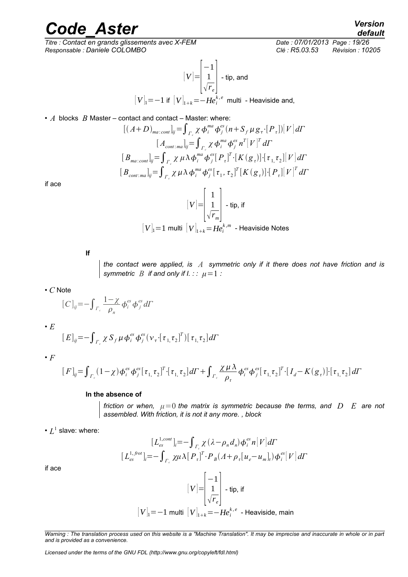$\overline{T}$ itre : Contact en grands glissements avec X-FEM *Responsable : Daniele COLOMBO Clé : R5.03.53 Révision : 10205*

$$
[V] = \begin{bmatrix} -1 \\ 1 \\ \sqrt{r_e} \end{bmatrix}
$$
- tip, and  

$$
[V]_1 = -1
$$
 if 
$$
[V]_{1+k} = -He_i^{k,e}
$$
 multi - Heaviside and,

• *A* blocks *B* Master – contact and contact – Master: where:

$$
[(A+D)_{ma:cont}]_{ij} = \int_{\Gamma_c} \chi \phi_i^{ma} \phi_j^{es} (n + S_f \mu g_\tau \cdot [P_\tau]) [V] d\Gamma
$$
  
\n
$$
[A_{cont:ma}]_{ij} = \int_{\Gamma_c} \chi \phi_i^{ma} \phi_j^{es} n^T [V]^T d\Gamma
$$
  
\n
$$
[B_{ma:cont}]_{ij} = \int_{\Gamma_c} \chi \mu \lambda \phi_i^{ma} \phi_j^{es} [P_\tau]^T \cdot [K(g_\tau)] \cdot [\tau_{1,\tau_{2}}] [V] d\Gamma
$$
  
\n
$$
[B_{cont:ma}]_{ij} = \int_{\Gamma_c} \chi \mu \lambda \phi_i^{ma} \phi_j^{es} [\tau_1, \tau_2]^T [K(g_\tau)] \cdot [P_\tau] [V]^T d\Gamma
$$

F.

if ace

$$
[V] = \begin{bmatrix} 1 \\ \frac{1}{\sqrt{r_m}} \end{bmatrix}
$$
- tip, if  

$$
[V]_1 = 1
$$
 multi 
$$
[V]_{1+k} = He_i^{k,m}
$$
- Heaviside Notes

**If**

*the contact were applied, is A symmetric only if it there does not have friction and is symmetric B if and only if*  $l$ *. : :*  $\mu = 1$  *:* 

• *C* Note

$$
[C]_{ij} = -\int_{\Gamma_c} \frac{1-\chi}{\rho_n} \phi_i^{es} \phi_j^{es} d\Gamma
$$

• *E*

$$
[E]_{ij} = -\int_{\Gamma_c} \chi S_f \mu \phi_i^{es} \phi_j^{es} (\nu_\tau \cdot [\tau_{1,\tau_2}]^T) [\tau_{1,\tau_2}] d\Gamma
$$

• *F*

$$
[F]_{ij} = \int_{\Gamma_c} (1 - \chi) \phi_i^{es} \phi_j^{es} [\tau_1, \tau_2]^T \cdot [\tau_1, \tau_2] d\Gamma + \int_{\Gamma_c} \frac{\chi \mu \lambda}{\rho_\tau} \phi_i^{es} \phi_j^{es} [\tau_1, \tau_2]^T \cdot [I_d - K(g_\tau)] \cdot [\tau_1, \tau_2] d\Gamma
$$

#### **In the absence of**

*friction or when,*  $\mu=0$  *the matrix is symmetric because the terms, and*  $D$  $E$  *are not assembled. With friction, it is not it any more. , block*

 $\cdot$   $L^1$  slave: where:

$$
[L_{es}^{1, cont}]_i = -\int_{\Gamma_c} \chi(\lambda - \rho_n d_n) \phi_i^{es} n[V] d\Gamma
$$
  

$$
[L_{es}^{1, frot}]_i = -\int_{\Gamma_c} \chi \mu \lambda [P_\tau]^T \cdot P_B(\Lambda + \rho_\tau [u_e - u_m]_\tau) \phi_i^{es}[V] d\Gamma
$$

if ace

$$
[V] = \begin{bmatrix} -1 \\ 1 \\ \sqrt{r_e} \end{bmatrix}
$$
 - tip, if  
[V]<sub>1</sub> = -1 multi  $[V]_{1+k}$  = -He<sup>k,e</sup><sub>i</sub> - Heaviside, main

*Warning : The translation process used on this website is a "Machine Translation". It may be imprecise and inaccurate in whole or in part and is provided as a convenience.*

*Licensed under the terms of the GNU FDL (http://www.gnu.org/copyleft/fdl.html)*

*default*<br>*Date : 07/01/2013 Page : 19/26*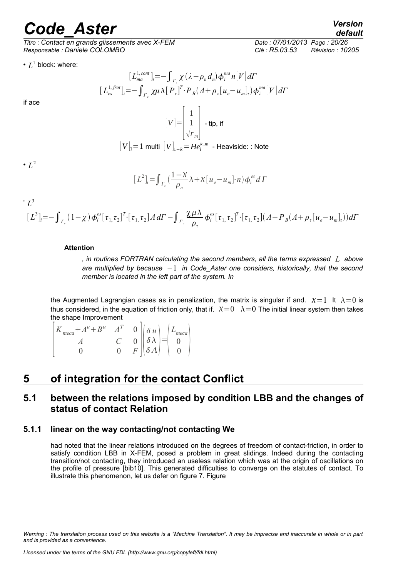*Titre : Contact en grands glissements avec X-FEM Date : 07/01/2013 Page : 20/26 Responsable : Daniele COLOMBO Clé : R5.03.53 Révision : 10205*

•  $L^1$  block: where:

if ace

$$
[L_{ma}^{1, cont}]_i = -\int_{\Gamma_c} \chi(\lambda - \rho_n d_n) \phi_i^{ma} n[V] d\Gamma
$$
  
\n
$$
[L_{es}^{1, frot}]_i = -\int_{\Gamma_c} \chi \mu \lambda [P_{\tau}]^T \cdot P_B(\Lambda + \rho_{\tau}[u_e - u_m]_{\tau}) \phi_i^{ma}[V] d\Gamma
$$
  
\n
$$
[V] = \begin{bmatrix} 1 \\ 1 \\ \sqrt{r_m} \end{bmatrix} - \text{tip, if}
$$

$$
[V]_1 = 1 \text{ multi } [V]_{1+k} = He_i^{k,m} \text{ - Heaviside: : Note}
$$

$$
[L2]r = \int_{r_c} \left( \frac{1 - X}{\rho_n} \lambda + X [u_e - u_m] \cdot n \right) \phi_i^{es} d\Gamma
$$

 $\cdot$   $L^3$ 

 $\cdot$   $L^2$ 

$$
\left[L^{3}\right]_{i}=-\int_{\Gamma_{\epsilon}}\left(1-\chi\right)\phi_{i}^{es}\left[\tau_{1,\tau_{2}}\right]^{T}\cdot\left[\tau_{1,\tau_{2}}\right]^{A}d\varGamma-\int_{\Gamma_{\epsilon}}\frac{\chi\mu\lambda}{\rho_{\tau}}\phi_{i}^{es}\left[\tau_{1,\tau_{2}}\right]^{T}\cdot\left[\tau_{1,\tau_{2}}\right](A-P_{B}(A+\rho_{\tau}[u_{e}-u_{m}]_{\tau}))d\varGamma
$$

#### **Attention**

*, in routines FORTRAN calculating the second members, all the terms expressed L above are multiplied by because –* 1 *in Code\_Aster one considers, historically, that the second member is located in the left part of the system. In*

the Augmented Lagrangian cases as in penalization, the matrix is singular if and.  $X=1$  It  $\lambda=0$  is thus considered, in the equation of friction only, that if.  $X=0$   $\lambda=0$  The initial linear system then takes the shape Improvement

 $\vert$  $K_{meca} + A^u + B^u \quad A^T \quad 0$ *A C* 0  $\begin{bmatrix} \delta \\ \delta \end{bmatrix}$  *u*  $\delta \lambda$  $\begin{bmatrix} \delta \lambda \\ \delta \Lambda \end{bmatrix} = \begin{bmatrix} 0 \\ 0 \\ 0 \end{bmatrix}$ *Lmeca* 0  $\begin{matrix} 0 \\ 0 \end{matrix}$ 

#### **5 of integration for the contact Conflict**

#### **5.1 between the relations imposed by condition LBB and the changes of status of contact Relation**

#### **5.1.1 linear on the way contacting/not contacting We**

had noted that the linear relations introduced on the degrees of freedom of contact-friction, in order to satisfy condition LBB in X-FEM, posed a problem in great slidings. Indeed during the contacting transition/not contacting, they introduced an useless relation which was at the origin of oscillations on the profile of pressure [bib10]. This generated difficulties to converge on the statutes of contact. To illustrate this phenomenon, let us defer on figure 7. Figure

*Warning : The translation process used on this website is a "Machine Translation". It may be imprecise and inaccurate in whole or in part and is provided as a convenience.*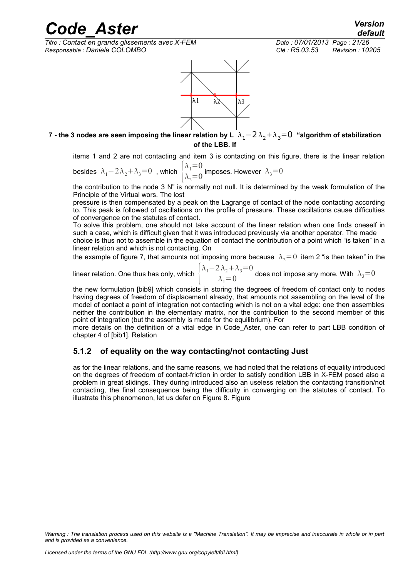*Titre : Contact en grands glissements avec X-FEM Date : 07/01/2013 Page : 21/26 Responsable : Daniele COLOMBO Clé : R5.03.53 Révision : 10205*



#### **7** - the 3 nodes are seen imposing the linear relation by L  $\lambda_1$  − 2 $\lambda_2$  +  $\lambda_3$  = 0 "algorithm of stabilization **of the LBB. If**

items 1 and 2 are not contacting and item 3 is contacting on this figure, there is the linear relation

besides  $\lambda_1-2\lambda_2+\lambda_3=0$ , which  $\lambda_1=0$  $\lambda_2=0$  imposes. However  $\lambda_3=0$ 

the contribution to the node 3 N" is normally not null. It is determined by the weak formulation of the Principle of the Virtual wors. The lost

pressure is then compensated by a peak on the Lagrange of contact of the node contacting according to. This peak is followed of oscillations on the profile of pressure. These oscillations cause difficulties of convergence on the statutes of contact.

To solve this problem, one should not take account of the linear relation when one finds oneself in such a case, which is difficult given that it was introduced previously via another operator. The made

choice is thus not to assemble in the equation of contact the contribution of a point which "is taken" in a linear relation and which is not contacting. On

the example of figure 7, that amounts not imposing more because  $\lambda_2=0$  item 2 "is then taken" in the

linear relation. One thus has only, which {  $\lambda_1-2\lambda_2+\lambda_3=0$  $\lambda_1 = 0$  does not impose any more. With  $\lambda_3 = 0$ 

the new formulation [bib9] which consists in storing the degrees of freedom of contact only to nodes having degrees of freedom of displacement already, that amounts not assembling on the level of the model of contact a point of integration not contacting which is not on a vital edge: one then assembles neither the contribution in the elementary matrix, nor the contribution to the second member of this point of integration (but the assembly is made for the equilibrium). For

more details on the definition of a vital edge in Code Aster, one can refer to part LBB condition of chapter 4 of [bib1]. Relation

#### **5.1.2 of equality on the way contacting/not contacting Just**

as for the linear relations, and the same reasons, we had noted that the relations of equality introduced on the degrees of freedom of contact-friction in order to satisfy condition LBB in X-FEM posed also a problem in great slidings. They during introduced also an useless relation the contacting transition/not contacting, the final consequence being the difficulty in converging on the statutes of contact. To illustrate this phenomenon, let us defer on Figure 8. Figure

*Warning : The translation process used on this website is a "Machine Translation". It may be imprecise and inaccurate in whole or in part and is provided as a convenience.*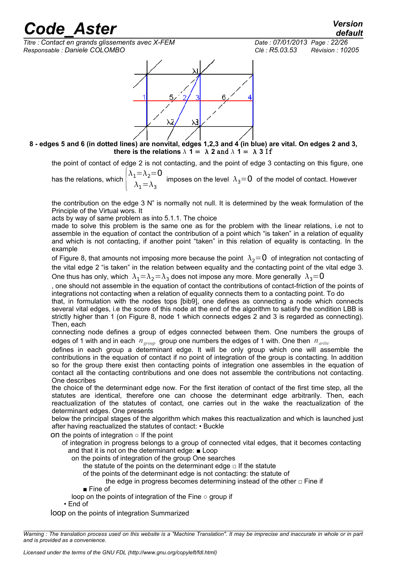*default*

*Titre : Contact en grands glissements avec X-FEM Date : 07/01/2013 Page : 22/26 Responsable : Daniele COLOMBO Clé : R5.03.53 Révision : 10205*



**8 - edges 5 and 6 (in dotted lines) are nonvital, edges 1,2,3 and 4 (in blue) are vital. On edges 2 and 3, there is the relations**  $\lambda$  **1 =**  $\lambda$  **2 and**  $\lambda$  **1 =**  $\lambda$  **3 If** 

the point of contact of edge 2 is not contacting, and the point of edge 3 contacting on this figure, one

has the relations, which  $\Big\{ \begin{array}{c} \mathcal{C}_1 \end{array}$  $\lambda_1=\lambda_2=0$  $\lambda_1$   $\lambda_2$  imposes on the level  $\lambda_3$ =0 of the model of contact. However

the contribution on the edge 3 N" is normally not null. It is determined by the weak formulation of the Principle of the Virtual wors. It

acts by way of same problem as into 5.1.1. The choice

made to solve this problem is the same one as for the problem with the linear relations, i.e not to assemble in the equation of contact the contribution of a point which "is taken" in a relation of equality and which is not contacting, if another point "taken" in this relation of equality is contacting. In the example

of Figure 8, that amounts not imposing more because the point  $\lambda_2=0$  of integration not contacting of the vital edge 2 "is taken" in the relation between equality and the contacting point of the vital edge 3. One thus has only, which  $\,\lambda_1{=}\lambda_2{=}\lambda_3$  does not impose any more. More generally  $\,\lambda_3{=}0$ 

, one should not assemble in the equation of contact the contributions of contact-friction of the points of integrations not contacting when a relation of equality connects them to a contacting point. To do

that, in formulation with the nodes tops [bib9], one defines as connecting a node which connects several vital edges, i.e the score of this node at the end of the algorithm to satisfy the condition LBB is strictly higher than 1 (on Figure 8, node 1 which connects edges 2 and 3 is regarded as connecting). Then, each

connecting node defines a group of edges connected between them. One numbers the groups of edges of 1 with and in each *n*<sub>oroup</sub> group one numbers the edges of 1 with. One then *n*<sub>arête</sub>

defines in each group a determinant edge. It will be only group which one will assemble the contributions in the equation of contact if no point of integration of the group is contacting. In addition so for the group there exist then contacting points of integration one assembles in the equation of contact all the contacting contributions and one does not assemble the contributions not contacting. One describes

the choice of the determinant edge now. For the first iteration of contact of the first time step, all the statutes are identical, therefore one can choose the determinant edge arbitrarily. Then, each reactualization of the statutes of contact, one carries out in the wake the reactualization of the determinant edges. One presents

below the principal stages of the algorithm which makes this reactualization and which is launched just after having reactualized the statutes of contact: • Buckle

on the points of integration  $\circ$  If the point

 of integration in progress belongs to a group of connected vital edges, that it becomes contacting and that it is not on the determinant edge: ■ Loop

on the points of integration of the group One searches

the statute of the points on the determinant edge  $\Box$  If the statute

of the points of the determinant edge is not contacting: the statute of

the edge in progress becomes determining instead of the other  $\Box$  Fine if

■ Fine of

loop on the points of integration of the Fine ○ group if

• End of

loop on the points of integration Summarized

*Warning : The translation process used on this website is a "Machine Translation". It may be imprecise and inaccurate in whole or in part and is provided as a convenience.*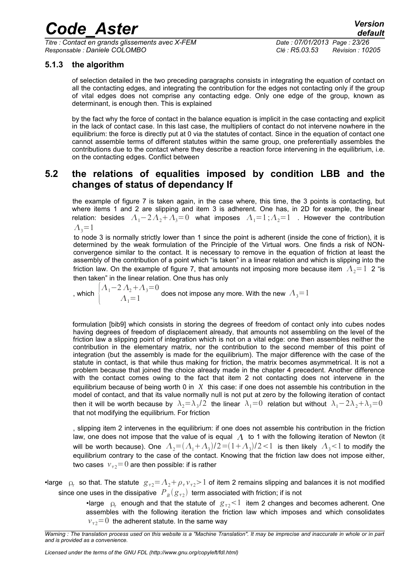*Titre : Contact en grands glissements avec X-FEM Date : 07/01/2013 Page : 23/26 Responsable : Daniele COLOMBO Clé : R5.03.53 Révision : 10205*

#### **5.1.3 the algorithm**

of selection detailed in the two preceding paragraphs consists in integrating the equation of contact on all the contacting edges, and integrating the contribution for the edges not contacting only if the group of vital edges does not comprise any contacting edge. Only one edge of the group, known as determinant, is enough then. This is explained

by the fact why the force of contact in the balance equation is implicit in the case contacting and explicit in the lack of contact case. In this last case, the multipliers of contact do not intervene nowhere in the equilibrium: the force is directly put at 0 via the statutes of contact. Since in the equation of contact one cannot assemble terms of different statutes within the same group, one preferentially assembles the contributions due to the contact where they describe a reaction force intervening in the equilibrium, i.e. on the contacting edges. Conflict between

#### **5.2 the relations of equalities imposed by condition LBB and the changes of status of dependancy If**

the example of figure 7 is taken again, in the case where, this time, the 3 points is contacting, but where items 1 and 2 are slipping and item 3 is adherent. One has, in 2D for example, the linear relation: besides  $A_1-2A_2+A_3=0$  what imposes  $A_1=1;A_2=1$ . However the contribution  $\Lambda_2=1$ 

to node 3 is normally strictly lower than 1 since the point is adherent (inside the cone of friction), it is determined by the weak formulation of the Principle of the Virtual wors. One finds a risk of NONconvergence similar to the contact. It is necessary to remove in the equation of friction at least the assembly of the contribution of a point which "is taken" in a linear relation and which is slipping into the friction law. On the example of figure 7, that amounts not imposing more because item  $A_2=1$  2 "is then taken" in the linear relation. One thus has only

, which  $\Big\{$  $A_1-2A_2+A_3=0$  $A_1 = 1$   $A_2 = 1$   $A_3 = 1$  does not impose any more. With the new  $A_3 = 1$ 

formulation [bib9] which consists in storing the degrees of freedom of contact only into cubes nodes having degrees of freedom of displacement already, that amounts not assembling on the level of the friction law a slipping point of integration which is not on a vital edge: one then assembles neither the contribution in the elementary matrix, nor the contribution to the second member of this point of integration (but the assembly is made for the equilibrium). The major difference with the case of the statute in contact, is that while thus making for friction, the matrix becomes asymmetrical. It is not a problem because that joined the choice already made in the chapter 4 precedent. Another difference with the contact comes owing to the fact that item 2 not contacting does not intervene in the equilibrium because of being worth 0 in  $X$  this case: if one does not assemble his contribution in the model of contact, and that its value normally null is not put at zero by the following iteration of contact then it will be worth because by  $\,\lambda_2= \lambda_3/2\,$  the linear  $\,\lambda_1=0\,$  relation but without  $\,\lambda_1-2\lambda_2+\lambda_3\!=\!0\,$ that not modifying the equilibrium. For friction

, slipping item 2 intervenes in the equilibrium: if one does not assemble his contribution in the friction law, one does not impose that the value of is equal  $\Lambda$  to 1 with the following iteration of Newton (it will be worth because). One  $|A_2{=}(A_1{+}A_3)/2{=}(1{+}A_3)/2{<}1|$  is then likely  $|A_3{<}1|$  to modify the equilibrium contrary to the case of the contact. Knowing that the friction law does not impose either, two cases  $v_{\tau2}=0$  are then possible: if is rather

•large  $\;\rho_{\tau}^{}\;$  so that. The statute  $\;g_{\,\tau 2}^{}\!\!=\!\Lambda_{2}^{}\!+\!\rho_{\,\tau}^{}\nu_{\,\tau 2}^{}\!\!>1$  of item 2 remains slipping and balances it is not modified since one uses in the dissipative  $\left. P_{\scriptscriptstyle B}(\!\mid\! g_{\tau2}) \right.$  term associated with friction; if is not

> •large  $\varphi$  enough and that the statute of  $g_{\tau 2}$  item 2 changes and becomes adherent. One assembles with the following iteration the friction law which imposes and which consolidates  $v_{\tau2}=0$  the adherent statute. In the same way

*Warning : The translation process used on this website is a "Machine Translation". It may be imprecise and inaccurate in whole or in part and is provided as a convenience.*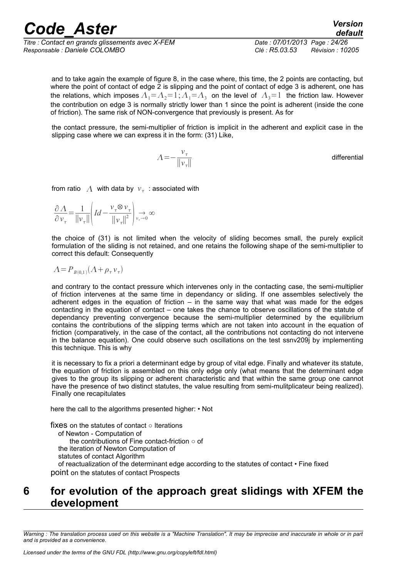*Titre : Contact en grands glissements avec X-FEM Date : 07/01/2013 Page : 24/26 Responsable : Daniele COLOMBO Clé : R5.03.53 Révision : 10205*

and to take again the example of figure 8, in the case where, this time, the 2 points are contacting, but where the point of contact of edge  $\tilde{2}$  is slipping and the point of contact of edge 3 is adherent, one has the relations, which imposes  $A_1$ = $A_2$ =1; $A_1$ = $A_3$  on the level of  $A_3$ =1 the friction law. However the contribution on edge 3 is normally strictly lower than 1 since the point is adherent (inside the cone of friction). The same risk of NON-convergence that previously is present. As for

the contact pressure, the semi-multiplier of friction is implicit in the adherent and explicit case in the slipping case where we can express it in the form: (31) Like,

> $\Lambda = -\frac{v_{\tau}}{v_{\tau}}$ ∥*v*∥ differential

from ratio  $|\overline{A}|$  with data by  $|v_\tau|$  : associated with

$$
\frac{\partial \Lambda}{\partial v_{\tau}} = \frac{1}{\left\|v_{\tau}\right\|} \left( Id - \frac{v_{\tau} \otimes v_{\tau}}{\left\|v_{\tau}\right\|^2} \right) \underset{v_{\tau} \to 0}{\longrightarrow} \infty
$$

the choice of (31) is not limited when the velocity of sliding becomes small, the purely explicit formulation of the sliding is not retained, and one retains the following shape of the semi-multiplier to correct this default: Consequently

$$
\Lambda = P_{B(0,1)}(\Lambda + \rho_{\tau} v_{\tau})
$$

and contrary to the contact pressure which intervenes only in the contacting case, the semi-multiplier of friction intervenes at the same time in dependancy or sliding. If one assembles selectively the adherent edges in the equation of friction  $-$  in the same way that what was made for the edges contacting in the equation of contact – one takes the chance to observe oscillations of the statute of dependancy preventing convergence because the semi-multiplier determined by the equilibrium contains the contributions of the slipping terms which are not taken into account in the equation of friction (comparatively, in the case of the contact, all the contributions not contacting do not intervene in the balance equation). One could observe such oscillations on the test ssnv209j by implementing this technique. This is why

it is necessary to fix a priori a determinant edge by group of vital edge. Finally and whatever its statute, the equation of friction is assembled on this only edge only (what means that the determinant edge gives to the group its slipping or adherent characteristic and that within the same group one cannot have the presence of two distinct statutes, the value resulting from semi-mulitplicateur being realized). Finally one recapitulates

here the call to the algorithms presented higher: • Not

```
fixes on the statutes of contact ○ Iterations
   of Newton - Computation of
      the contributions of Fine contact-friction ○ of
   the iteration of Newton Computation of
   statutes of contact Algorithm
   of reactualization of the determinant edge according to the statutes of contact • Fine fixed
point on the statutes of contact Prospects
```
#### **6 for evolution of the approach great slidings with XFEM the development**

*Warning : The translation process used on this website is a "Machine Translation". It may be imprecise and inaccurate in whole or in part and is provided as a convenience.*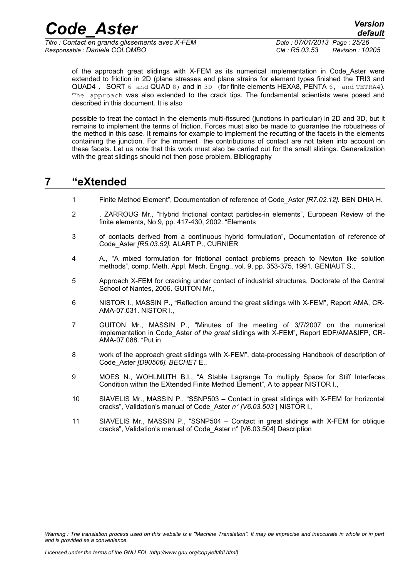*Titre : Contact en grands glissements avec X-FEM Date : 07/01/2013 Page : 25/26 Responsable : Daniele COLOMBO Clé : R5.03.53 Révision : 10205*

*default*

of the approach great slidings with X-FEM as its numerical implementation in Code\_Aster were extended to friction in 2D (plane stresses and plane strains for element types finished the TRI3 and QUAD4 , SORT 6 and QUAD 8) and in 3D (for finite elements HEXA8, PENTA 6, and TETRA4). The approach was also extended to the crack tips. The fundamental scientists were posed and described in this document. It is also

possible to treat the contact in the elements multi-fissured (junctions in particular) in 2D and 3D, but it remains to implement the terms of friction. Forces must also be made to guarantee the robustness of the method in this case. It remains for example to implement the recutting of the facets in the elements containing the junction. For the moment the contributions of contact are not taken into account on these facets. Let us note that this work must also be carried out for the small slidings. Generalization with the great slidings should not then pose problem. Bibliography

#### **7 "eXtended**

- 1 Finite Method Element", Documentation of reference of Code\_Aster *[R7.02.12].* BEN DHIA H.
- 2 , ZARROUG Mr., "Hybrid frictional contact particles-in elements", European Review of the finite elements, No 9, pp. 417-430, 2002. "Elements
- 3 of contacts derived from a continuous hybrid formulation", Documentation of reference of Code\_Aster *[R5.03.52].* ALART P., CURNIER
- 4 A., "A mixed formulation for frictional contact problems preach to Newton like solution methods", comp. Meth. Appl. Mech. Engng., vol. 9, pp. 353-375, 1991. GENIAUT S.,
- 5 Approach X-FEM for cracking under contact of industrial structures, Doctorate of the Central School of Nantes, 2006. GUITON Mr.,
- 6 NISTOR I., MASSIN P., "Reflection around the great slidings with X-FEM", Report AMA, CR-AMA-07.031. NISTOR I.,
- 7 GUITON Mr., MASSIN P., "Minutes of the meeting of 3/7/2007 on the numerical implementation in Code\_Aster *of the great* slidings with X-FEM", Report EDF/AMA&IFP, CR-AMA-07.088. "Put in
- 8 work of the approach great slidings with X-FEM", data-processing Handbook of description of Code\_Aster *[D90506]. BECHET* E.,
- 9 MOES N., WOHLMUTH B.I., "A Stable Lagrange To multiply Space for Stiff Interfaces Condition within the EXtended Finite Method Element", A to appear NISTOR I.,
- 10 SIAVELIS Mr., MASSIN P., "SSNP503 Contact in great slidings with X-FEM for horizontal cracks", Validation's manual of Code\_Aster *n° [V6.03.503* ] NISTOR I.,
- 11 SIAVELIS Mr., MASSIN P., "SSNP504 Contact in great slidings with X-FEM for oblique cracks", Validation's manual of Code\_Aster n° [V6.03.504] Description